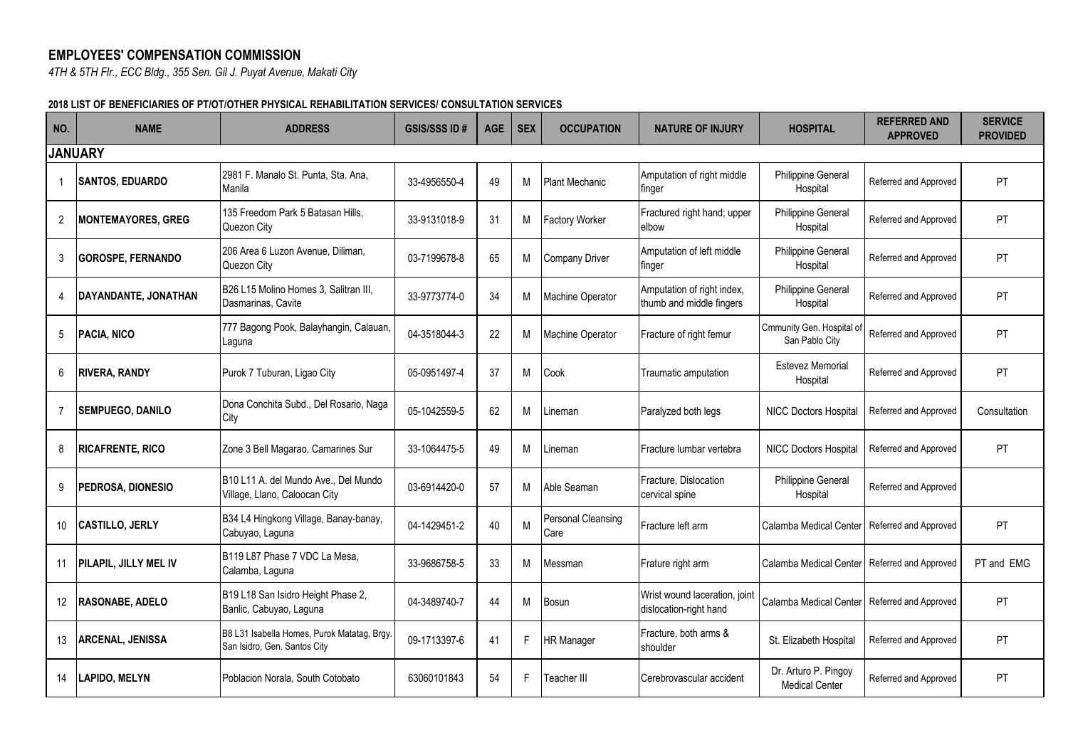## **EMPLOYEES' COMPENSATION COMMISSION**

*4TH & 5TH Flr., ECC Bldg., 355 Sen. Gil J. Puyat Avenue, Makati City*

## **2018 LIST OF BENEFICIARIES OF PT/OT/OTHER PHYSICAL REHABILITATION SERVICES/ CONSULTATION SERVICES**

| NO.            | <b>NAME</b>                  | <b>ADDRESS</b>                                                              | <b>GSIS/SSS ID#</b> | <b>AGE</b> | <b>SEX</b> | <b>OCCUPATION</b>          | <b>NATURE OF INJURY</b>                                 | <b>HOSPITAL</b>                               | <b>REFERRED AND</b><br><b>APPROVED</b> | <b>SERVICE</b><br><b>PROVIDED</b> |
|----------------|------------------------------|-----------------------------------------------------------------------------|---------------------|------------|------------|----------------------------|---------------------------------------------------------|-----------------------------------------------|----------------------------------------|-----------------------------------|
|                | <b>JANUARY</b>               |                                                                             |                     |            |            |                            |                                                         |                                               |                                        |                                   |
|                | <b>ISANTOS, EDUARDO</b>      | 2981 F. Manalo St. Punta, Sta. Ana,<br>Manila                               | 33-4956550-4        | 49         | М          | <b>Plant Mechanic</b>      | Amputation of right middle<br>finger                    | Philippine General<br>Hospital                | Referred and Approved                  | PT                                |
| $\overline{2}$ | <b>MONTEMAYORES, GREG</b>    | 135 Freedom Park 5 Batasan Hills.<br>Quezon City                            | 33-9131018-9        | 31         | М          | <b>Factory Worker</b>      | Fractured right hand; upper<br>elbow                    | <b>Philippine General</b><br>Hospital         | Referred and Approved                  | PT.                               |
| 3              | <b>GOROSPE, FERNANDO</b>     | 206 Area 6 Luzon Avenue, Diliman,<br>Quezon City                            | 03-7199678-8        | 65         | М          | <b>Company Driver</b>      | Amputation of left middle<br>finger                     | Philippine General<br>Hospital                | Referred and Approved                  | PT                                |
| 4              | DAYANDANTE, JONATHAN         | B26 L15 Molino Homes 3, Salitran III,<br>Dasmarinas, Cavite                 | 33-9773774-0        | 34         | M          | Machine Operator           | Amputation of right index,<br>thumb and middle fingers  | Philippine General<br>Hospital                | Referred and Approved                  | PT                                |
| 5              | <b>PACIA, NICO</b>           | 777 Bagong Pook, Balayhangin, Calauan,<br>Laguna                            | 04-3518044-3        | 22         | M          | Machine Operator           | Fracture of right femur                                 | Cmmunity Gen. Hospital of<br>San Pablo City   | Referred and Approved                  | PT                                |
| 6              | <b>RIVERA, RANDY</b>         | Purok 7 Tuburan, Ligao City                                                 | 05-0951497-4        | 37         | M          | Cook                       | Traumatic amputation                                    | <b>Estevez Memorial</b><br>Hospital           | Referred and Approved                  | PT                                |
| 7              | <b>SEMPUEGO, DANILO</b>      | Dona Conchita Subd., Del Rosario, Naga<br>City                              | 05-1042559-5        | 62         | М          | ineman                     | Paralyzed both legs                                     | <b>NICC Doctors Hospital</b>                  | Referred and Approved                  | Consultation                      |
| 8              | <b>RICAFRENTE, RICO</b>      | Zone 3 Bell Magarao, Camarines Sur                                          | 33-1064475-5        | 49         | M          | .ineman                    | IFracture lumbar vertebra                               | <b>NICC Doctors Hospital</b>                  | Referred and Approved                  | PT.                               |
| 9              | PEDROSA, DIONESIO            | B10 L11 A. del Mundo Ave., Del Mundo<br>Village, Llano, Caloocan City       | 03-6914420-0        | 57         | M          | Able Seaman                | Fracture, Dislocation<br>cervical spine                 | <b>Philippine General</b><br>Hospital         | Referred and Approved                  |                                   |
| 10             | <b>CASTILLO, JERLY</b>       | B34 L4 Hingkong Village, Banay-banay,<br>Cabuyao, Laguna                    | 04-1429451-2        | 40         | M          | Personal Cleansing<br>Care | Fracture left arm                                       | Calamba Medical Center                        | Referred and Approved                  | PT.                               |
| 11             | <b>PILAPIL, JILLY MEL IV</b> | B119 L87 Phase 7 VDC La Mesa,<br>Calamba, Laguna                            | 33-9686758-5        | 33         | м          | Messman                    | Frature right arm                                       | Calamba Medical Center                        | Referred and Approved                  | PT and EMG                        |
| 12             | <b>RASONABE, ADELO</b>       | B19 L18 San Isidro Height Phase 2,<br>Banlic, Cabuyao, Laguna               | 04-3489740-7        | 44         | М          | Bosun                      | Wrist wound laceration, joint<br>dislocation-right hand | Calamba Medical Center                        | Referred and Approved                  | <b>PT</b>                         |
| 13             | <b>ARCENAL, JENISSA</b>      | B8 L31 Isabella Homes, Purok Matatag, Brgy.<br>San Isidro, Gen. Santos City | 09-1713397-6        | 41         | F.         | <b>HR Manager</b>          | Fracture, both arms &<br>shoulder                       | St. Elizabeth Hospital                        | Referred and Approved                  | PT                                |
| 14             | <b>LAPIDO, MELYN</b>         | Poblacion Norala, South Cotobato                                            | 63060101843         | 54         | F.         | Teacher III                | Cerebrovascular accident                                | Dr. Arturo P. Pingoy<br><b>Medical Center</b> | Referred and Approved                  | PT                                |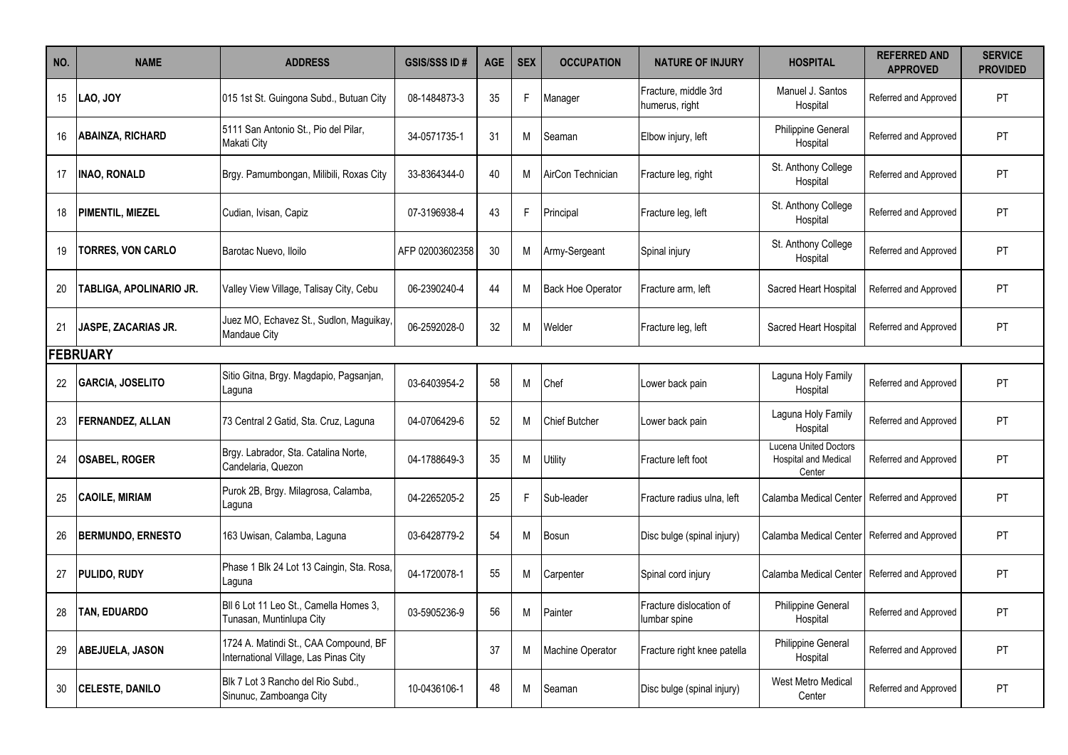| NO. | <b>NAME</b>              | <b>ADDRESS</b>                                                                 | <b>GSIS/SSS ID#</b> | <b>AGE</b> | <b>SEX</b> | <b>OCCUPATION</b>        | <b>NATURE OF INJURY</b>                 | <b>HOSPITAL</b>                                                       | <b>REFERRED AND</b><br><b>APPROVED</b> | <b>SERVICE</b><br><b>PROVIDED</b> |
|-----|--------------------------|--------------------------------------------------------------------------------|---------------------|------------|------------|--------------------------|-----------------------------------------|-----------------------------------------------------------------------|----------------------------------------|-----------------------------------|
| 15  | LAO, JOY                 | 015 1st St. Guingona Subd., Butuan City                                        | 08-1484873-3        | 35         | F.         | Manager                  | Fracture, middle 3rd<br>humerus, right  | Manuel J. Santos<br>Hospital                                          | Referred and Approved                  | PT                                |
| 16  | <b>ABAINZA, RICHARD</b>  | 5111 San Antonio St., Pio del Pilar,<br>Makati City                            | 34-0571735-1        | 31         | м          | Seaman                   | Elbow injury, left                      | Philippine General<br>Hospital                                        | Referred and Approved                  | PT                                |
| 17  | <b>INAO, RONALD</b>      | Brgy. Pamumbongan, Milibili, Roxas City                                        | 33-8364344-0        | 40         | М          | AirCon Technician        | Fracture leg, right                     | St. Anthony College<br>Hospital                                       | Referred and Approved                  | PT                                |
| 18  | <b>PIMENTIL, MIEZEL</b>  | Cudian, Ivisan, Capiz                                                          | 07-3196938-4        | 43         | F.         | Principal                | Fracture leg, left                      | St. Anthony College<br>Hospital                                       | Referred and Approved                  | PT                                |
| 19  | <b>TORRES, VON CARLO</b> | Barotac Nuevo, Iloilo                                                          | AFP 02003602358     | 30         | М          | Army-Sergeant            | Spinal injury                           | St. Anthony College<br>Hospital                                       | Referred and Approved                  | PT                                |
| 20  | TABLIGA, APOLINARIO JR.  | Valley View Village, Talisay City, Cebu                                        | 06-2390240-4        | 44         | м          | <b>Back Hoe Operator</b> | Fracture arm. left                      | Sacred Heart Hospital                                                 | Referred and Approved                  | PT                                |
| 21  | JASPE, ZACARIAS JR.      | Juez MO, Echavez St., Sudlon, Maguikay,<br>Mandaue City                        | 06-2592028-0        | 32         | М          | Welder                   | Fracture leg, left                      | Sacred Heart Hospital                                                 | Referred and Approved                  | PT                                |
|     | <b>FEBRUARY</b>          |                                                                                |                     |            |            |                          |                                         |                                                                       |                                        |                                   |
| 22  | <b>GARCIA, JOSELITO</b>  | Sitio Gitna, Brgy. Magdapio, Pagsanjan,<br>Laguna                              | 03-6403954-2        | 58         | M          | Chef                     | Lower back pain                         | Laguna Holy Family<br>Hospital                                        | Referred and Approved                  | PT                                |
| 23  | <b>FERNANDEZ, ALLAN</b>  | 73 Central 2 Gatid, Sta. Cruz, Laguna                                          | 04-0706429-6        | 52         | м          | Chief Butcher            | Lower back pain                         | Laguna Holy Family<br>Hospital                                        | Referred and Approved                  | PT                                |
| 24  | <b>OSABEL, ROGER</b>     | Brgy. Labrador, Sta. Catalina Norte,<br>Candelaria, Quezon                     | 04-1788649-3        | 35         | М          | <b>Utility</b>           | Fracture left foot                      | <b>Lucena United Doctors</b><br><b>Hospital and Medical</b><br>Center | Referred and Approved                  | PT                                |
| 25  | <b>CAOILE, MIRIAM</b>    | Purok 2B, Brgy. Milagrosa, Calamba,<br>Laguna                                  | 04-2265205-2        | 25         | F.         | Sub-leader               | Fracture radius ulna, left              | Calamba Medical Center                                                | Referred and Approved                  | PT                                |
| 26  | <b>BERMUNDO, ERNESTO</b> | 163 Uwisan, Calamba, Laguna                                                    | 03-6428779-2        | 54         | м          | Bosun                    | Disc bulge (spinal injury)              | Calamba Medical Center                                                | Referred and Approved                  | PT                                |
| 27  | <b>PULIDO, RUDY</b>      | Phase 1 Blk 24 Lot 13 Caingin, Sta. Rosa,<br>Laguna                            | 04-1720078-1        | 55         | М          | Carpenter                | Spinal cord injury                      | Calamba Medical Center                                                | Referred and Approved                  | PT                                |
| 28  | <b>TAN, EDUARDO</b>      | BII 6 Lot 11 Leo St., Camella Homes 3,<br>Tunasan, Muntinlupa City             | 03-5905236-9        | 56         | M          | Painter                  | Fracture dislocation of<br>lumbar spine | <b>Philippine General</b><br>Hospital                                 | Referred and Approved                  | PT                                |
| 29  | <b>ABEJUELA, JASON</b>   | 1724 A. Matindi St., CAA Compound, BF<br>International Village, Las Pinas City |                     | 37         | M          | Machine Operator         | Fracture right knee patella             | Philippine General<br>Hospital                                        | Referred and Approved                  | PT                                |
| 30  | <b>CELESTE, DANILO</b>   | Blk 7 Lot 3 Rancho del Rio Subd.,<br>Sinunuc, Zamboanga City                   | 10-0436106-1        | 48         | м          | Seaman                   | Disc bulge (spinal injury)              | <b>West Metro Medical</b><br>Center                                   | Referred and Approved                  | PT                                |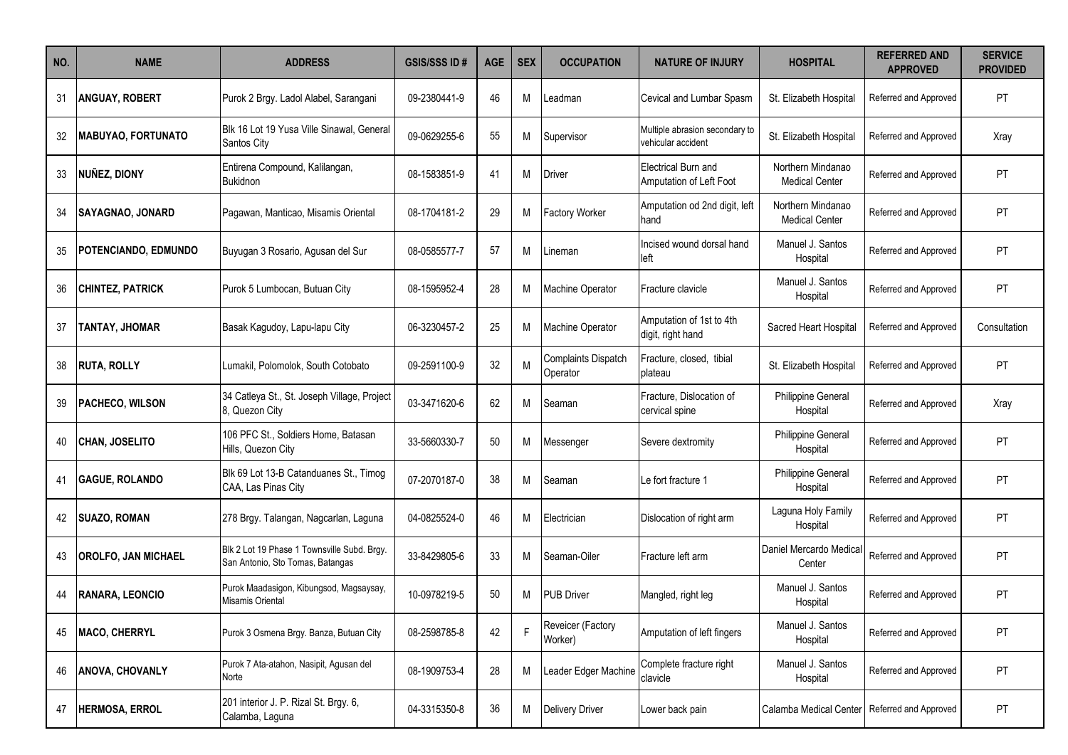| NO. | <b>NAME</b>                 | <b>ADDRESS</b>                                                                  | <b>GSIS/SSS ID#</b> | <b>AGE</b> | <b>SEX</b> | <b>OCCUPATION</b>                      | <b>NATURE OF INJURY</b>                                | <b>HOSPITAL</b>                            | <b>REFERRED AND</b><br><b>APPROVED</b> | <b>SERVICE</b><br><b>PROVIDED</b> |
|-----|-----------------------------|---------------------------------------------------------------------------------|---------------------|------------|------------|----------------------------------------|--------------------------------------------------------|--------------------------------------------|----------------------------------------|-----------------------------------|
| 31  | <b>ANGUAY, ROBERT</b>       | Purok 2 Brgy. Ladol Alabel, Sarangani                                           | 09-2380441-9        | 46         | M          | Leadman                                | Cevical and Lumbar Spasm                               | St. Elizabeth Hospital                     | Referred and Approved                  | <b>PT</b>                         |
| 32  | <b>MABUYAO, FORTUNATO</b>   | Blk 16 Lot 19 Yusa Ville Sinawal, General<br><b>Santos City</b>                 | 09-0629255-6        | 55         | м          | Supervisor                             | Multiple abrasion secondary to<br>vehicular accident   | St. Elizabeth Hospital                     | Referred and Approved                  | Xray                              |
| 33  | NUÑEZ, DIONY                | Entirena Compound, Kalilangan,<br>Bukidnon                                      | 08-1583851-9        | 41         | м          | Driver                                 | <b>IElectrical Burn and</b><br>Amputation of Left Foot | Northern Mindanao<br><b>Medical Center</b> | Referred and Approved                  | PT                                |
| 34  | <b>SAYAGNAO, JONARD</b>     | Pagawan, Manticao, Misamis Oriental                                             | 08-1704181-2        | 29         | M          | <b>Factory Worker</b>                  | Amputation od 2nd digit, left<br>hand                  | Northern Mindanao<br><b>Medical Center</b> | Referred and Approved                  | <b>PT</b>                         |
| 35  | <b>POTENCIANDO, EDMUNDO</b> | Buyugan 3 Rosario, Agusan del Sur                                               | 08-0585577-7        | 57         | м          | Lineman                                | Incised wound dorsal hand<br>left                      | Manuel J. Santos<br>Hospital               | Referred and Approved                  | <b>PT</b>                         |
| 36  | <b>CHINTEZ, PATRICK</b>     | Purok 5 Lumbocan, Butuan City                                                   | 08-1595952-4        | 28         | M          | Machine Operator                       | Fracture clavicle                                      | Manuel J. Santos<br>Hospital               | Referred and Approved                  | <b>PT</b>                         |
| 37  | TANTAY, JHOMAR              | Basak Kagudoy, Lapu-lapu City                                                   | 06-3230457-2        | 25         | M          | Machine Operator                       | Amputation of 1st to 4th<br>digit, right hand          | Sacred Heart Hospital                      | Referred and Approved                  | Consultation                      |
| 38  | <b>RUTA, ROLLY</b>          | Lumakil, Polomolok, South Cotobato                                              | 09-2591100-9        | 32         | M          | <b>Complaints Dispatch</b><br>Operator | Fracture, closed, tibial<br>plateau                    | St. Elizabeth Hospital                     | Referred and Approved                  | <b>PT</b>                         |
| 39  | <b>PACHECO, WILSON</b>      | 34 Catleya St., St. Joseph Village, Project<br>8, Quezon City                   | 03-3471620-6        | 62         | M          | Seaman                                 | Fracture, Dislocation of<br>cervical spine             | Philippine General<br>Hospital             | Referred and Approved                  | Xray                              |
| 40  | <b>CHAN, JOSELITO</b>       | 106 PFC St., Soldiers Home, Batasan<br>Hills, Quezon City                       | 33-5660330-7        | 50         | M          | Messenger                              | Severe dextromity                                      | Philippine General<br>Hospital             | Referred and Approved                  | <b>PT</b>                         |
| 41  | <b>GAGUE, ROLANDO</b>       | Blk 69 Lot 13-B Catanduanes St., Timog<br>CAA, Las Pinas City                   | 07-2070187-0        | 38         | M          | Seaman                                 | Le fort fracture 1                                     | Philippine General<br>Hospital             | Referred and Approved                  | <b>PT</b>                         |
|     | <b>SUAZO, ROMAN</b>         | 278 Brgy. Talangan, Nagcarlan, Laguna                                           | 04-0825524-0        | 46         | м          | Electrician                            | Dislocation of right arm                               | Laguna Holy Family<br>Hospital             | Referred and Approved                  | PT                                |
| 43  | <b>OROLFO, JAN MICHAEL</b>  | Blk 2 Lot 19 Phase 1 Townsville Subd. Brgy.<br>San Antonio, Sto Tomas, Batangas | 33-8429805-6        | 33         | м          | Seaman-Oiler                           | Fracture left arm                                      | Daniel Mercardo Medical<br>Center          | Referred and Approved                  | <b>PT</b>                         |
| 44  | <b>RANARA, LEONCIO</b>      | Purok Maadasigon, Kibungsod, Magsaysay,<br>Misamis Oriental                     | 10-0978219-5        | 50         | М          | <b>PUB Driver</b>                      | Mangled, right leg                                     | Manuel J. Santos<br>Hospital               | Referred and Approved                  | PT                                |
| 45  | <b>MACO, CHERRYL</b>        | Purok 3 Osmena Brgy. Banza, Butuan City                                         | 08-2598785-8        | 42         | F          | Reveicer (Factory<br>Worker)           | Amputation of left fingers                             | Manuel J. Santos<br>Hospital               | Referred and Approved                  | PT                                |
| 46  | <b>ANOVA, CHOVANLY</b>      | Purok 7 Ata-atahon, Nasipit, Agusan del<br>Norte                                | 08-1909753-4        | 28         | M          | eader Edger Machine                    | Complete fracture right<br>clavicle                    | Manuel J. Santos<br>Hospital               | Referred and Approved                  | PT                                |
| 47  | HERMOSA, ERROL              | 201 interior J. P. Rizal St. Brgy. 6,<br>Calamba, Laguna                        | 04-3315350-8        | 36         | M          | <b>Delivery Driver</b>                 | Lower back pain                                        | Calamba Medical Center                     | Referred and Approved                  | PT                                |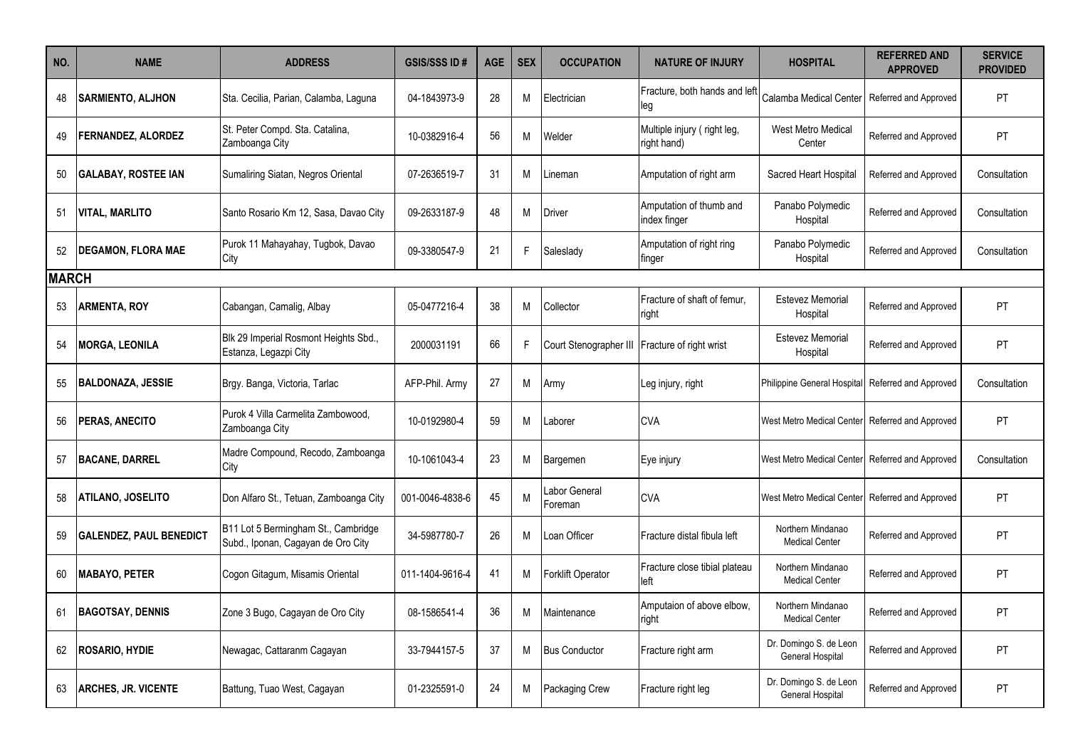| NO.          | <b>NAME</b>                    | <b>ADDRESS</b>                                                            | <b>GSIS/SSS ID#</b> | <b>AGE</b> | <b>SEX</b> | <b>OCCUPATION</b>        | <b>NATURE OF INJURY</b>                    | <b>HOSPITAL</b>                            | <b>REFERRED AND</b><br><b>APPROVED</b> | <b>SERVICE</b><br><b>PROVIDED</b> |
|--------------|--------------------------------|---------------------------------------------------------------------------|---------------------|------------|------------|--------------------------|--------------------------------------------|--------------------------------------------|----------------------------------------|-----------------------------------|
| 48           | <b>SARMIENTO, ALJHON</b>       | Sta. Cecilia, Parian, Calamba, Laguna                                     | 04-1843973-9        | 28         | М          | Electrician              | Fracture, both hands and left<br>leg       | Calamba Medical Center                     | Referred and Approved                  | PT                                |
| 49           | <b>FERNANDEZ, ALORDEZ</b>      | St. Peter Compd. Sta. Catalina,<br>Zamboanga City                         | 10-0382916-4        | 56         | М          | Welder                   | Multiple injury (right leg,<br>right hand) | West Metro Medical<br>Center               | Referred and Approved                  | PT                                |
| 50           | <b>GALABAY, ROSTEE IAN</b>     | Sumaliring Siatan, Negros Oriental                                        | 07-2636519-7        | 31         | M          | .ineman                  | Amputation of right arm                    | Sacred Heart Hospital                      | Referred and Approved                  | Consultation                      |
| -51          | <b>VITAL, MARLITO</b>          | Santo Rosario Km 12, Sasa, Davao City                                     | 09-2633187-9        | 48         | М          | Driver                   | Amputation of thumb and<br>index finger    | Panabo Polymedic<br>Hospital               | Referred and Approved                  | Consultation                      |
| 52           | <b>DEGAMON, FLORA MAE</b>      | Purok 11 Mahayahay, Tugbok, Davao<br>City                                 | 09-3380547-9        | 21         | F.         | Saleslady                | Amputation of right ring<br>finger         | Panabo Polymedic<br>Hospital               | Referred and Approved                  | Consultation                      |
| <b>MARCH</b> |                                |                                                                           |                     |            |            |                          |                                            |                                            |                                        |                                   |
| 53           | <b>ARMENTA, ROY</b>            | Cabangan, Camalig, Albay                                                  | 05-0477216-4        | 38         | M          | Collector                | Fracture of shaft of femur,<br>right       | <b>Estevez Memorial</b><br>Hospital        | Referred and Approved                  | <b>PT</b>                         |
| 54           | <b>MORGA, LEONILA</b>          | Blk 29 Imperial Rosmont Heights Sbd.,<br>Estanza, Legazpi City            | 2000031191          | 66         | F.         | Court Stenographer III   | Fracture of right wrist                    | <b>Estevez Memorial</b><br>Hospital        | Referred and Approved                  | <b>PT</b>                         |
| 55           | <b>BALDONAZA, JESSIE</b>       | Brgy. Banga, Victoria, Tarlac                                             | AFP-Phil. Army      | 27         | M          | Army                     | Leg injury, right                          | Philippine General Hospital                | Referred and Approved                  | Consultation                      |
| 56           | PERAS, ANECITO                 | Purok 4 Villa Carmelita Zambowood,<br>Zamboanga City                      | 10-0192980-4        | 59         | м          | .aborer                  | <b>CVA</b>                                 | West Metro Medical Center                  | Referred and Approved                  | PT                                |
| 57           | <b>BACANE, DARREL</b>          | Madre Compound, Recodo, Zamboanga<br>City                                 | 10-1061043-4        | 23         | М          | Bargemen                 | Eye injury                                 | West Metro Medical Center                  | Referred and Approved                  | Consultation                      |
| 58           | ATILANO, JOSELITO              | Don Alfaro St., Tetuan, Zamboanga City                                    | 001-0046-4838-6     | 45         | M          | abor General<br>Foreman  | <b>CVA</b>                                 | West Metro Medical Center                  | Referred and Approved                  | PT                                |
| 59           | <b>GALENDEZ, PAUL BENEDICT</b> | B11 Lot 5 Bermingham St., Cambridge<br>Subd., Iponan, Cagayan de Oro City | 34-5987780-7        | 26         | м          | Loan Officer             | Fracture distal fibula left                | Northern Mindanao<br><b>Medical Center</b> | Referred and Approved                  | PT                                |
| 60           | <b>MABAYO, PETER</b>           | Cogon Gitagum, Misamis Oriental                                           | 011-1404-9616-4     | 41         | М          | <b>Forklift Operator</b> | Fracture close tibial plateau<br>left      | Northern Mindanao<br><b>Medical Center</b> | Referred and Approved                  | <b>PT</b>                         |
| 61           | <b>BAGOTSAY, DENNIS</b>        | Zone 3 Bugo, Cagayan de Oro City                                          | 08-1586541-4        | 36         | М          | Maintenance              | Amputaion of above elbow,<br>right         | Northern Mindanao<br><b>Medical Center</b> | Referred and Approved                  | PT                                |
| 62           | <b>ROSARIO, HYDIE</b>          | Newagac, Cattaranm Cagayan                                                | 33-7944157-5        | 37         | M          | <b>Bus Conductor</b>     | Fracture right arm                         | Dr. Domingo S. de Leon<br>General Hospital | Referred and Approved                  | PT                                |
| 63           | <b>ARCHES, JR. VICENTE</b>     | Battung, Tuao West, Cagayan                                               | 01-2325591-0        | 24         | М          | <b>Packaging Crew</b>    | Fracture right leg                         | Dr. Domingo S. de Leon<br>General Hospital | Referred and Approved                  | PT.                               |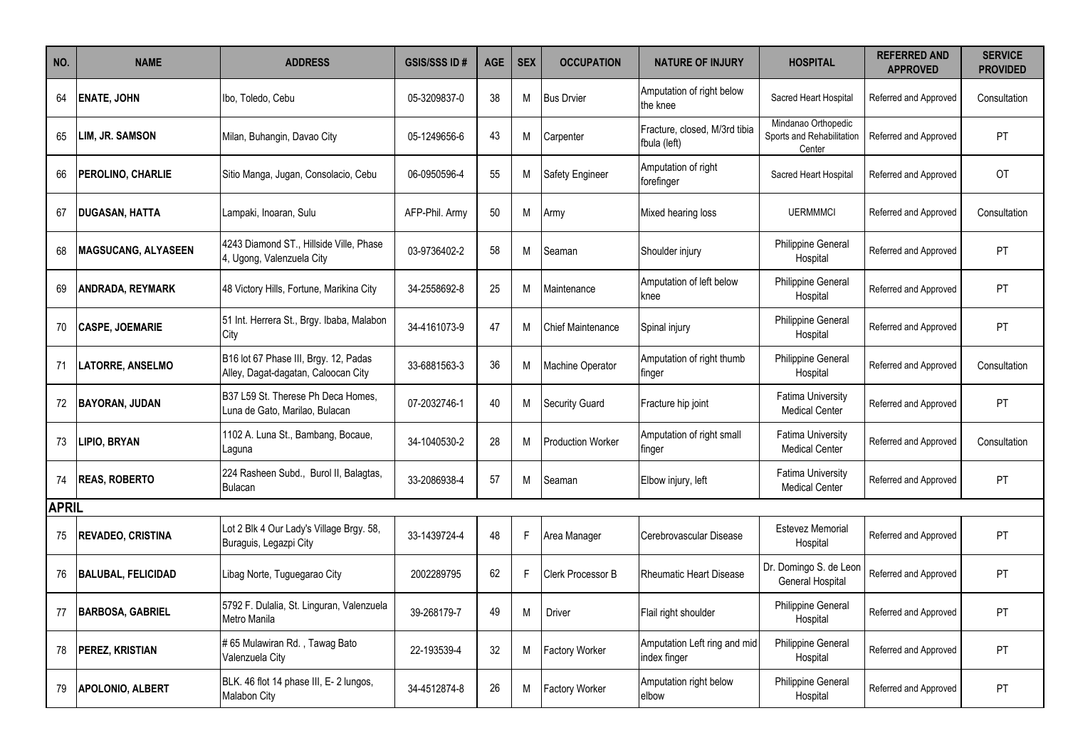| NO.          | <b>NAME</b>                | <b>ADDRESS</b>                                                               | <b>GSIS/SSS ID#</b> | <b>AGE</b> | <b>SEX</b> | <b>OCCUPATION</b>        | <b>NATURE OF INJURY</b>                       | <b>HOSPITAL</b>                                            | <b>REFERRED AND</b><br><b>APPROVED</b> | <b>SERVICE</b><br><b>PROVIDED</b> |
|--------------|----------------------------|------------------------------------------------------------------------------|---------------------|------------|------------|--------------------------|-----------------------------------------------|------------------------------------------------------------|----------------------------------------|-----------------------------------|
| 64           | <b>ENATE, JOHN</b>         | Ibo, Toledo, Cebu                                                            | 05-3209837-0        | 38         | М          | <b>Bus Drvier</b>        | Amputation of right below<br>the knee         | Sacred Heart Hospital                                      | Referred and Approved                  | Consultation                      |
| 65           | LIM, JR. SAMSON            | Milan, Buhangin, Davao City                                                  | 05-1249656-6        | 43         | М          | Carpenter                | Fracture, closed, M/3rd tibia<br>fbula (left) | Mindanao Orthopedic<br>Sports and Rehabilitation<br>Center | Referred and Approved                  | PT                                |
| 66           | PEROLINO, CHARLIE          | Sitio Manga, Jugan, Consolacio, Cebu                                         | 06-0950596-4        | 55         | М          | Safety Engineer          | Amputation of right<br>forefinger             | Sacred Heart Hospital                                      | Referred and Approved                  | OT                                |
| 67           | <b>IDUGASAN, HATTA</b>     | Lampaki, Inoaran, Sulu                                                       | AFP-Phil. Armv      | 50         | м          | Army                     | Mixed hearing loss                            | <b>UERMMMCI</b>                                            | Referred and Approved                  | Consultation                      |
| 68           | <b>MAGSUCANG, ALYASEEN</b> | 4243 Diamond ST., Hillside Ville, Phase<br>4, Ugong, Valenzuela City         | 03-9736402-2        | 58         | М          | Seaman                   | Shoulder injury                               | Philippine General<br>Hospital                             | Referred and Approved                  | PT                                |
| 69           | ANDRADA, REYMARK           | 48 Victory Hills, Fortune, Marikina City                                     | 34-2558692-8        | 25         | М          | Maintenance              | Amputation of left below<br>knee              | Philippine General<br>Hospital                             | Referred and Approved                  | <b>PT</b>                         |
| 70           | <b>CASPE, JOEMARIE</b>     | 51 Int. Herrera St., Brgy. Ibaba, Malabon<br>City                            | 34-4161073-9        | 47         | М          | <b>Chief Maintenance</b> | Spinal injury                                 | <b>Philippine General</b><br>Hospital                      | Referred and Approved                  | PT                                |
| 71           | <b>LATORRE, ANSELMO</b>    | B16 lot 67 Phase III, Brgy. 12, Padas<br>Alley, Dagat-dagatan, Caloocan City | 33-6881563-3        | 36         | М          | Machine Operator         | Amputation of right thumb<br>tinger           | Philippine General<br>Hospital                             | Referred and Approved                  | Consultation                      |
| 72           | <b>BAYORAN, JUDAN</b>      | B37 L59 St. Therese Ph Deca Homes,<br>Luna de Gato, Marilao, Bulacan         | 07-2032746-1        | 40         | M          | <b>Security Guard</b>    | Fracture hip joint                            | <b>Fatima University</b><br><b>Medical Center</b>          | Referred and Approved                  | PT                                |
| 73           | LIPIO, BRYAN               | 1102 A. Luna St., Bambang, Bocaue,<br>Laquna                                 | 34-1040530-2        | 28         | М          | <b>Production Worker</b> | Amputation of right small<br>finger           | <b>Fatima University</b><br><b>Medical Center</b>          | Referred and Approved                  | Consultation                      |
| 74           | <b>IREAS, ROBERTO</b>      | 224 Rasheen Subd., Burol II, Balagtas,<br>Bulacan                            | 33-2086938-4        | 57         | М          | Seaman                   | Elbow injury, left                            | Fatima University<br><b>Medical Center</b>                 | Referred and Approved                  | PT.                               |
| <b>APRIL</b> |                            |                                                                              |                     |            |            |                          |                                               |                                                            |                                        |                                   |
| 75           | <b>REVADEO, CRISTINA</b>   | Lot 2 Blk 4 Our Lady's Village Brgy. 58,<br>Buraguis, Legazpi City           | 33-1439724-4        | 48         | F.         | Area Manager             | Cerebrovascular Disease                       | Estevez Memorial<br>Hospital                               | Referred and Approved                  | PT                                |
| 76           | <b>BALUBAL, FELICIDAD</b>  | Libag Norte, Tuguegarao City                                                 | 2002289795          | 62         | F.         | Clerk Processor B        | <b>Rheumatic Heart Disease</b>                | Dr. Domingo S. de Leon<br><b>General Hospital</b>          | Referred and Approved                  | PT                                |
| 77           | <b>BARBOSA, GABRIEL</b>    | 5792 F. Dulalia, St. Linguran, Valenzuela<br>Metro Manila                    | 39-268179-7         | 49         | M          | <b>Driver</b>            | Flail right shoulder                          | Philippine General<br>Hospital                             | Referred and Approved                  | <b>PT</b>                         |
| 78           | <b>PEREZ, KRISTIAN</b>     | #65 Mulawiran Rd., Tawag Bato<br>Valenzuela City                             | 22-193539-4         | 32         | Μ          | Factory Worker           | Amputation Left ring and mid<br>index finger  | Philippine General<br>Hospital                             | Referred and Approved                  | <b>PT</b>                         |
| 79           | <b>APOLONIO, ALBERT</b>    | BLK. 46 flot 14 phase III, E- 2 lungos,<br>Malabon City                      | 34-4512874-8        | 26         | М          | <b>Factory Worker</b>    | Amputation right below<br>elbow               | Philippine General<br>Hospital                             | Referred and Approved                  | PT                                |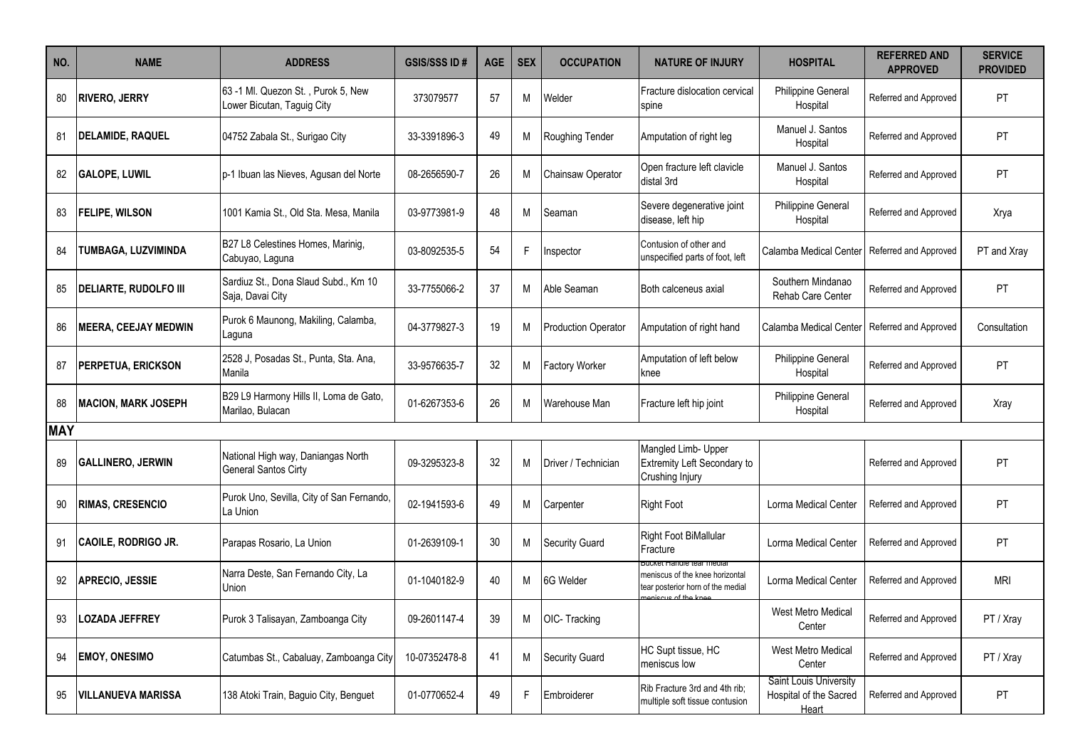| NO.        | <b>NAME</b>                  | <b>ADDRESS</b>                                                    | <b>GSIS/SSS ID#</b> | <b>AGE</b> | <b>SEX</b> | <b>OCCUPATION</b>          | <b>NATURE OF INJURY</b>                                                                           | <b>HOSPITAL</b>                                                  | <b>REFERRED AND</b><br><b>APPROVED</b> | <b>SERVICE</b><br><b>PROVIDED</b> |
|------------|------------------------------|-------------------------------------------------------------------|---------------------|------------|------------|----------------------------|---------------------------------------------------------------------------------------------------|------------------------------------------------------------------|----------------------------------------|-----------------------------------|
| 80         | <b>RIVERO, JERRY</b>         | 63 -1 Ml. Quezon St., Purok 5, New<br>Lower Bicutan, Taguig City  | 373079577           | 57         | М          | Welder                     | Fracture dislocation cervical<br>spine                                                            | Philippine General<br>Hospital                                   | Referred and Approved                  | PT                                |
| 81         | <b>DELAMIDE, RAQUEL</b>      | 04752 Zabala St., Surigao City                                    | 33-3391896-3        | 49         | M          | Roughing Tender            | Amputation of right leg                                                                           | Manuel J. Santos<br>Hospital                                     | Referred and Approved                  | <b>PT</b>                         |
| 82         | <b>GALOPE, LUWIL</b>         | p-1 Ibuan las Nieves, Agusan del Norte                            | 08-2656590-7        | 26         | M          | Chainsaw Operator          | Open fracture left clavicle<br>distal 3rd                                                         | Manuel J. Santos<br>Hospital                                     | Referred and Approved                  | <b>PT</b>                         |
| 83         | <b>FELIPE, WILSON</b>        | 1001 Kamia St., Old Sta. Mesa, Manila                             | 03-9773981-9        | 48         | М          | Seaman                     | Severe degenerative joint<br>disease, left hip                                                    | Philippine General<br>Hospital                                   | Referred and Approved                  | Xrya                              |
| 84         | TUMBAGA, LUZVIMINDA          | B27 L8 Celestines Homes, Marinig,<br>Cabuyao, Laguna              | 03-8092535-5        | 54         | F.         | Inspector                  | Contusion of other and<br>unspecified parts of foot, left                                         | Calamba Medical Center                                           | Referred and Approved                  | PT and Xray                       |
| 85         | <b>DELIARTE, RUDOLFO III</b> | Sardiuz St., Dona Slaud Subd., Km 10<br>Saja, Davai City          | 33-7755066-2        | 37         | М          | Able Seaman                | Both calceneus axial                                                                              | Southern Mindanao<br>Rehab Care Center                           | Referred and Approved                  | <b>PT</b>                         |
| 86         | <b>MEERA, CEEJAY MEDWIN</b>  | Purok 6 Maunong, Makiling, Calamba,<br>Laguna                     | 04-3779827-3        | 19         | M          | <b>Production Operator</b> | Amputation of right hand                                                                          | Calamba Medical Center                                           | Referred and Approved                  | Consultation                      |
| 87         | PERPETUA, ERICKSON           | 2528 J, Posadas St., Punta, Sta. Ana,<br>Manila                   | 33-9576635-7        | 32         | M          | <b>Factory Worker</b>      | Amputation of left below<br>knee                                                                  | Philippine General<br>Hospital                                   | Referred and Approved                  | PT                                |
| 88         | <b>MACION, MARK JOSEPH</b>   | B29 L9 Harmony Hills II, Loma de Gato,<br>Marilao, Bulacan        | 01-6267353-6        | 26         | M          | Warehouse Man              | Fracture left hip joint                                                                           | Philippine General<br>Hospital                                   | Referred and Approved                  | Xray                              |
| <b>MAY</b> |                              |                                                                   |                     |            |            |                            |                                                                                                   |                                                                  |                                        |                                   |
| 89         | <b>GALLINERO, JERWIN</b>     | National High way, Daniangas North<br><b>General Santos Cirty</b> | 09-3295323-8        | 32         | M          | Driver / Technician        | Mangled Limb- Upper<br>Extremity Left Secondary to<br>Crushing Injury                             |                                                                  | Referred and Approved                  | PT                                |
|            | RIMAS, CRESENCIO             | Purok Uno, Sevilla, City of San Fernando,<br>La Union             | 02-1941593-6        | 49         | M          | Carpenter                  | <b>Right Foot</b>                                                                                 | Lorma Medical Center                                             | Referred and Approved                  | <b>PT</b>                         |
| 91         | CAOILE, RODRIGO JR.          | Parapas Rosario, La Union                                         | 01-2639109-1        | 30         | M          | <b>Security Guard</b>      | Right Foot BiMallular<br>Fracture                                                                 | Lorma Medical Center                                             | Referred and Approved                  | PT                                |
|            | <b>APRECIO, JESSIE</b>       | Narra Deste, San Fernando City, La<br>Union                       | 01-1040182-9        | 40         | м          | 6G Welder                  | sucket Handie tear medial<br>meniscus of the knee horizontal<br>tear posterior horn of the medial | Lorma Medical Center                                             | Referred and Approved                  | <b>MRI</b>                        |
| 93         | <b>LOZADA JEFFREY</b>        | Purok 3 Talisayan, Zamboanga City                                 | 09-2601147-4        | 39         | М          | OIC- Tracking              |                                                                                                   | West Metro Medical<br>Center                                     | Referred and Approved                  | PT / Xray                         |
| 94         | <b>EMOY, ONESIMO</b>         | Catumbas St., Cabaluay, Zamboanga City                            | 10-07352478-8       | 41         | M          | <b>Security Guard</b>      | HC Supt tissue, HC<br>meniscus low                                                                | West Metro Medical<br>Center                                     | Referred and Approved                  | PT / Xray                         |
| 95         | <b>VILLANUEVA MARISSA</b>    | 138 Atoki Train, Baguio City, Benguet                             | 01-0770652-4        | 49         | F.         | Embroiderer                | Rib Fracture 3rd and 4th rib;<br>multiple soft tissue contusion                                   | Saint Louis University<br>Hospital of the Sacred<br><b>Heart</b> | Referred and Approved                  | PT                                |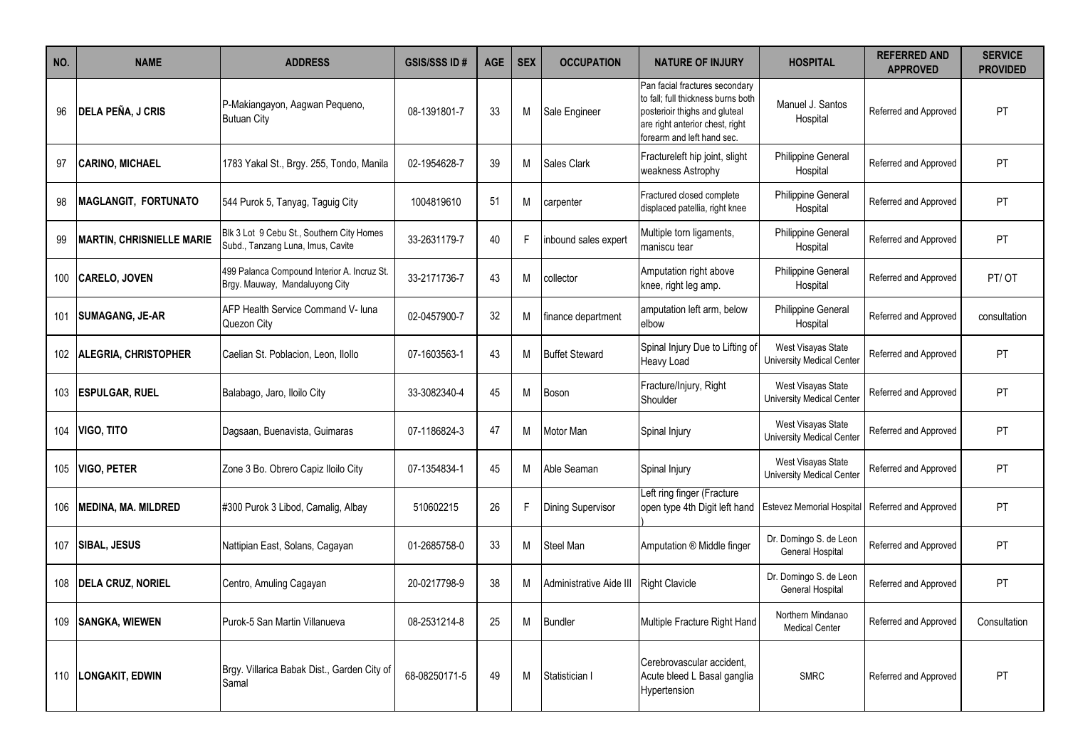| NO. | <b>NAME</b>                      | <b>ADDRESS</b>                                                                 | <b>GSIS/SSS ID#</b> | <b>AGE</b> | <b>SEX</b> | <b>OCCUPATION</b>        | <b>NATURE OF INJURY</b>                                                                                                                                                | <b>HOSPITAL</b>                                        | <b>REFERRED AND</b><br><b>APPROVED</b> | <b>SERVICE</b><br><b>PROVIDED</b> |
|-----|----------------------------------|--------------------------------------------------------------------------------|---------------------|------------|------------|--------------------------|------------------------------------------------------------------------------------------------------------------------------------------------------------------------|--------------------------------------------------------|----------------------------------------|-----------------------------------|
| 96  | <b>DELA PEÑA, J CRIS</b>         | P-Makiangayon, Aagwan Pequeno,<br><b>Butuan City</b>                           | 08-1391801-7        | 33         | M          | Sale Engineer            | Pan facial fractures secondary<br>to fall; full thickness burns both<br>posterioir thighs and gluteal<br>are right anterior chest, right<br>forearm and left hand sec. | Manuel J. Santos<br>Hospital                           | Referred and Approved                  | PT                                |
| 97  | <b>CARINO, MICHAEL</b>           | 1783 Yakal St., Brgy. 255, Tondo, Manila                                       | 02-1954628-7        | 39         | М          | Sales Clark              | Fractureleft hip joint, slight<br>weakness Astrophy                                                                                                                    | Philippine General<br>Hospital                         | Referred and Approved                  | PT                                |
| 98  | <b>MAGLANGIT, FORTUNATO</b>      | 544 Purok 5, Tanyag, Taguig City                                               | 1004819610          | 51         | M          | carpenter                | Fractured closed complete<br>displaced patellia, right knee                                                                                                            | Philippine General<br>Hospital                         | Referred and Approved                  | PT                                |
| 99  | <b>MARTIN, CHRISNIELLE MARIE</b> | Blk 3 Lot 9 Cebu St., Southern City Homes<br>Subd., Tanzang Luna, Imus, Cavite | 33-2631179-7        | 40         | F.         | inbound sales expert     | Multiple torn ligaments,<br>maniscu tear                                                                                                                               | Philippine General<br>Hospital                         | Referred and Approved                  | PT                                |
| 100 | <b>CARELO, JOVEN</b>             | 499 Palanca Compound Interior A. Incruz St.<br>Brgy. Mauway, Mandaluyong City  | 33-2171736-7        | 43         | М          | collector                | Amputation right above<br>knee, right leg amp.                                                                                                                         | Philippine General<br>Hospital                         | Referred and Approved                  | PT/OT                             |
| 101 | <b>SUMAGANG, JE-AR</b>           | AFP Health Service Command V- luna<br>Quezon City                              | 02-0457900-7        | 32         | M          | finance department       | amputation left arm, below<br>elbow                                                                                                                                    | Philippine General<br>Hospital                         | Referred and Approved                  | consultation                      |
| 102 | ALEGRIA, CHRISTOPHER             | Caelian St. Poblacion, Leon, Ilollo                                            | 07-1603563-1        | 43         | М          | <b>Buffet Steward</b>    | Spinal Injury Due to Lifting of<br>Heavy Load                                                                                                                          | West Visayas State<br><b>University Medical Center</b> | Referred and Approved                  | PT                                |
| 103 | <b>ESPULGAR, RUEL</b>            | Balabago, Jaro, Iloilo City                                                    | 33-3082340-4        | 45         | М          | Boson                    | Fracture/Injury, Right<br>Shoulder                                                                                                                                     | West Visayas State<br><b>University Medical Center</b> | Referred and Approved                  | PT                                |
| 104 | <b>VIGO, TITO</b>                | Dagsaan, Buenavista, Guimaras                                                  | 07-1186824-3        | 47         | M          | Motor Man                | Spinal Injury                                                                                                                                                          | West Visayas State<br>University Medical Center        | Referred and Approved                  | PT                                |
| 105 | <b>VIGO, PETER</b>               | Zone 3 Bo. Obrero Capiz Iloilo City                                            | 07-1354834-1        | 45         | М          | Able Seaman              | Spinal Injury                                                                                                                                                          | West Visayas State<br>University Medical Center        | Referred and Approved                  | PT                                |
| 106 | <b>MEDINA, MA. MILDRED</b>       | #300 Purok 3 Libod, Camalig, Albay                                             | 510602215           | 26         | F.         | <b>Dining Supervisor</b> | Left ring finger (Fracture<br>open type 4th Digit left hand                                                                                                            | <b>Estevez Memorial Hospital</b>                       | Referred and Approved                  | PT                                |
| 107 | <b>SIBAL, JESUS</b>              | Nattipian East, Solans, Cagayan                                                | 01-2685758-0        | 33         | м          | Steel Man                | Amputation ® Middle finger                                                                                                                                             | Dr. Domingo S. de Leon<br>General Hospital             | Referred and Approved                  | PT                                |
| 108 | <b>DELA CRUZ, NORIEL</b>         | Centro, Amuling Cagayan                                                        | 20-0217798-9        | 38         | м          | Administrative Aide III  | <b>Right Clavicle</b>                                                                                                                                                  | Dr. Domingo S. de Leon<br>General Hospital             | Referred and Approved                  | PT                                |
|     | 109 SANGKA, WIEWEN               | Purok-5 San Martin Villanueva                                                  | 08-2531214-8        | 25         | М          | Bundler                  | Multiple Fracture Right Hand                                                                                                                                           | Northern Mindanao<br><b>Medical Center</b>             | Referred and Approved                  | Consultation                      |
|     | 110  LONGAKIT, EDWIN             | Brgy. Villarica Babak Dist., Garden City of<br>Samal                           | 68-08250171-5       | 49         | М          | Statistician I           | Cerebrovascular accident,<br>Acute bleed L Basal ganglia<br>Hypertension                                                                                               | <b>SMRC</b>                                            | Referred and Approved                  | <b>PT</b>                         |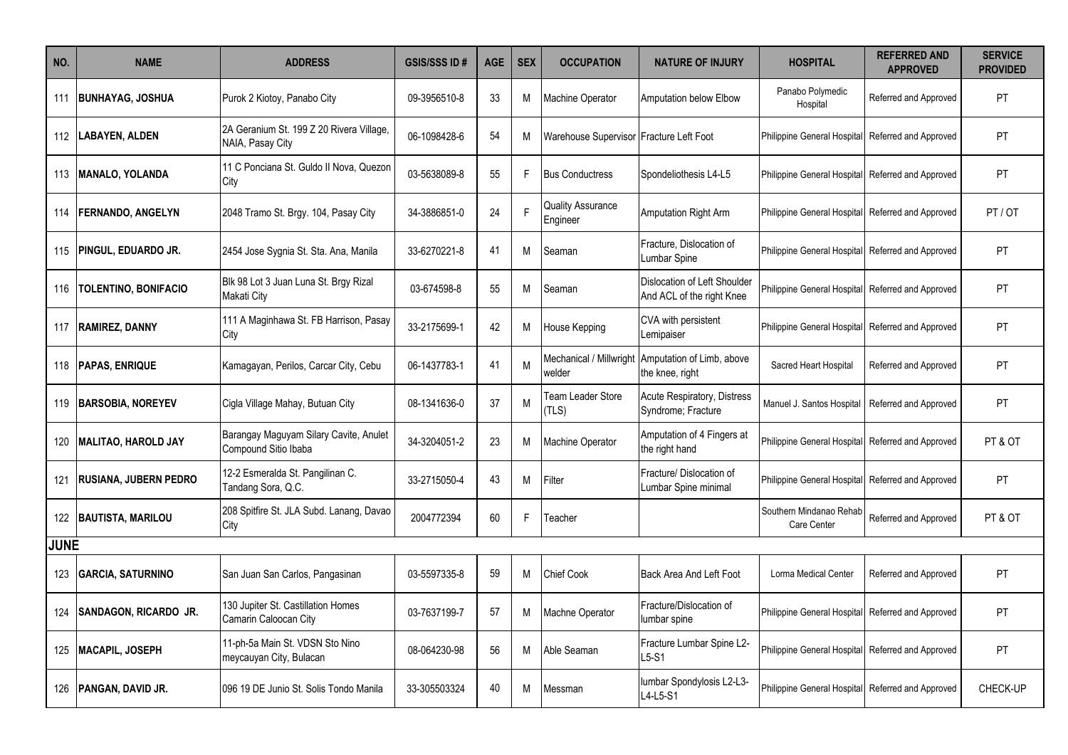| NO.         | <b>NAME</b>                  | <b>ADDRESS</b>                                                 | <b>GSIS/SSS ID#</b> | <b>AGE</b> | <b>SEX</b> | <b>OCCUPATION</b>                       | <b>NATURE OF INJURY</b>                                   | <b>HOSPITAL</b>                        | <b>REFERRED AND</b><br><b>APPROVED</b> | <b>SERVICE</b><br><b>PROVIDED</b> |
|-------------|------------------------------|----------------------------------------------------------------|---------------------|------------|------------|-----------------------------------------|-----------------------------------------------------------|----------------------------------------|----------------------------------------|-----------------------------------|
|             | 111 BUNHAYAG, JOSHUA         | Purok 2 Kiotoy, Panabo City                                    | 09-3956510-8        | 33         | М          | <b>Machine Operator</b>                 | Amputation below Elbow                                    | Panabo Polymedic<br>Hospital           | Referred and Approved                  | PT                                |
|             | 112   LABAYEN, ALDEN         | 2A Geranium St. 199 Z 20 Rivera Village,<br>NAIA, Pasay City   | 06-1098428-6        | 54         | M          | Warehouse Supervisor Fracture Left Foot |                                                           | Philippine General Hospital            | Referred and Approved                  | PT                                |
| 113         | <b>MANALO, YOLANDA</b>       | 11 C Ponciana St. Guldo II Nova. Quezon<br>City                | 03-5638089-8        | 55         | F.         | <b>Bus Conductress</b>                  | Spondeliothesis L4-L5                                     | <b>Philippine General Hospital</b>     | Referred and Approved                  | <b>PT</b>                         |
| 114         | <b>FERNANDO, ANGELYN</b>     | 2048 Tramo St. Brgy. 104, Pasay City                           | 34-3886851-0        | 24         |            | <b>Quality Assurance</b><br>Engineer    | Amputation Right Arm                                      | Philippine General Hospital            | Referred and Approved                  | PT/OT                             |
| 115         | <b>PINGUL, EDUARDO JR.</b>   | 2454 Jose Sygnia St. Sta. Ana, Manila                          | 33-6270221-8        | 41         | М          | Seaman                                  | Fracture. Dislocation of<br>umbar Spine                   | Philippine General Hospital            | Referred and Approved                  | PT                                |
| 116         | <b>TOLENTINO, BONIFACIO</b>  | Blk 98 Lot 3 Juan Luna St. Brgy Rizal<br>Makati City           | 03-674598-8         | 55         | М          | Seaman                                  | Dislocation of Left Shoulder<br>And ACL of the right Knee | Philippine General Hospital            | Referred and Approved                  | PT                                |
|             | 117 RAMIREZ, DANNY           | 111 A Maginhawa St. FB Harrison, Pasay<br>City                 | 33-2175699-1        | 42         | М          | House Kepping                           | CVA with persistent<br>Lemipaiser                         | Philippine General Hospital            | Referred and Approved                  | PT                                |
|             | 118   PAPAS, ENRIQUE         | Kamagayan, Perilos, Carcar City, Cebu                          | 06-1437783-1        | 41         | М          | Mechanical / Millwright<br>welder       | Amputation of Limb, above<br>the knee, right              | Sacred Heart Hospital                  | Referred and Approved                  | PT                                |
| 119         | <b>BARSOBIA, NOREYEV</b>     | Cigla Village Mahay, Butuan City                               | 08-1341636-0        | 37         | М          | Team Leader Store<br>TLS)               | <b>Acute Respiratory, Distress</b><br>Syndrome; Fracture  | Manuel J. Santos Hospital              | Referred and Approved                  | PT                                |
| 120         | MALITAO, HAROLD JAY          | Barangay Maguyam Silary Cavite, Anulet<br>Compound Sitio Ibaba | 34-3204051-2        | 23         | м          | <b>Machine Operator</b>                 | Amputation of 4 Fingers at<br>the right hand              | Philippine General Hospital            | Referred and Approved                  | PT & OT                           |
| 121         | <b>RUSIANA, JUBERN PEDRO</b> | 12-2 Esmeralda St. Pangilinan C.<br>Tandang Sora, Q.C.         | 33-2715050-4        | 43         | M          | Filter                                  | Fracture/ Dislocation of<br>Lumbar Spine minimal          | Philippine General Hospital            | Referred and Approved                  | PT                                |
|             | 122 BAUTISTA, MARILOU        | 208 Spitfire St. JLA Subd. Lanang, Davao<br>City               | 2004772394          | 60         | F.         | Teacher                                 |                                                           | Southern Mindanao Rehab<br>Care Center | Referred and Approved                  | PT & OT                           |
| <b>JUNE</b> |                              |                                                                |                     |            |            |                                         |                                                           |                                        |                                        |                                   |
| 123         | <b>GARCIA, SATURNINO</b>     | San Juan San Carlos, Pangasinan                                | 03-5597335-8        | 59         | М          | <b>Chief Cook</b>                       | Back Area And Left Foot                                   | Lorma Medical Center                   | Referred and Approved                  | PT                                |
| 124         | <b>SANDAGON, RICARDO JR.</b> | 130 Jupiter St. Castillation Homes<br>Camarin Caloocan City    | 03-7637199-7        | 57         | M          | Machne Operator                         | Fracture/Dislocation of<br>lumbar spine                   | Philippine General Hospital            | Referred and Approved                  | PT                                |
| 125         | <b>MACAPIL, JOSEPH</b>       | 11-ph-5a Main St. VDSN Sto Nino<br>meycauyan City, Bulacan     | 08-064230-98        | 56         | м          | Able Seaman                             | Fracture Lumbar Spine L2-<br>L5-S1                        | Philippine General Hospital            | Referred and Approved                  | PT                                |
|             | 126   PANGAN, DAVID JR.      | 096 19 DE Junio St. Solis Tondo Manila                         | 33-305503324        | 40         | м          | Messman                                 | lumbar Spondylosis L2-L3-<br>L4-L5-S1                     | Philippine General Hospital            | Referred and Approved                  | CHECK-UP                          |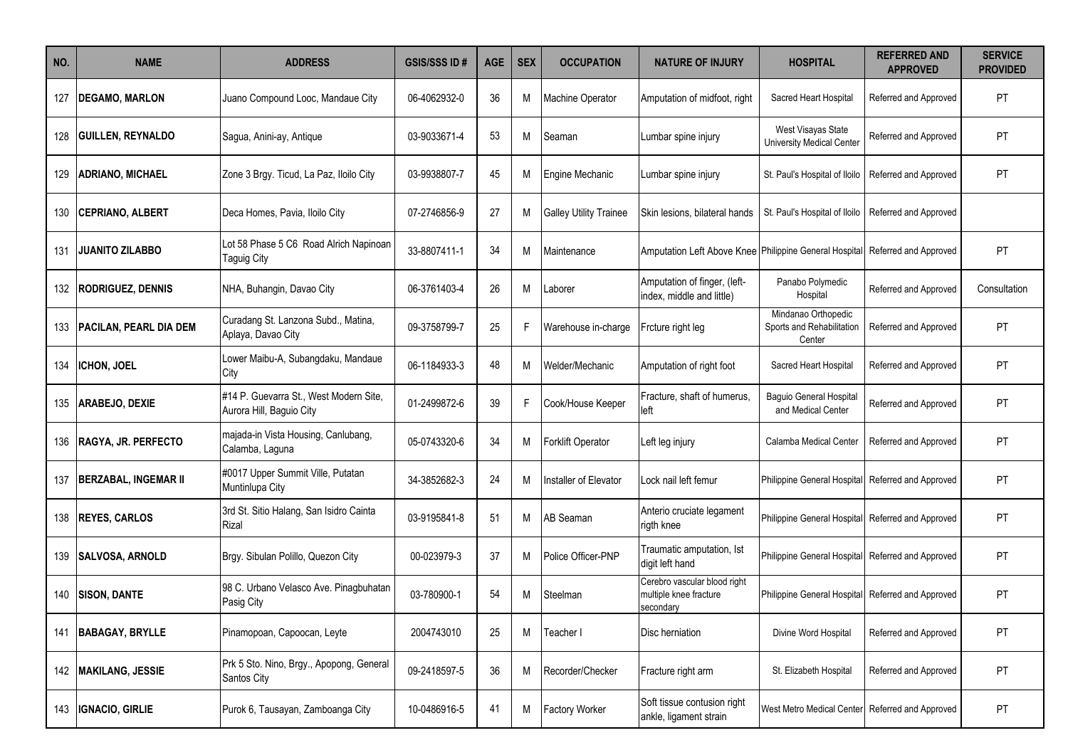| NO. | <b>NAME</b>                  | <b>ADDRESS</b>                                                     | <b>GSIS/SSS ID#</b> | <b>AGE</b> | <b>SEX</b> | <b>OCCUPATION</b>             | <b>NATURE OF INJURY</b>                                                      | <b>HOSPITAL</b>                                            | <b>REFERRED AND</b><br><b>APPROVED</b> | <b>SERVICE</b><br><b>PROVIDED</b> |
|-----|------------------------------|--------------------------------------------------------------------|---------------------|------------|------------|-------------------------------|------------------------------------------------------------------------------|------------------------------------------------------------|----------------------------------------|-----------------------------------|
| 127 | <b>DEGAMO, MARLON</b>        | Juano Compound Looc, Mandaue City                                  | 06-4062932-0        | 36         | М          | <b>Machine Operator</b>       | Amputation of midfoot, right                                                 | Sacred Heart Hospital                                      | Referred and Approved                  | PT                                |
| 128 | <b>GUILLEN, REYNALDO</b>     | Sagua, Anini-ay, Antique                                           | 03-9033671-4        | 53         | M          | Seaman                        | Lumbar spine injury                                                          | West Visayas State<br>University Medical Center            | Referred and Approved                  | PT                                |
| 129 | <b>ADRIANO, MICHAEL</b>      | Zone 3 Brgy. Ticud, La Paz, Iloilo City                            | 03-9938807-7        | 45         | м          | Engine Mechanic               | Lumbar spine injury                                                          | St. Paul's Hospital of Iloilo                              | Referred and Approved                  | <b>PT</b>                         |
| 130 | <b>CEPRIANO, ALBERT</b>      | Deca Homes, Pavia, Iloilo City                                     | 07-2746856-9        | 27         | M          | <b>Galley Utility Trainee</b> | Skin lesions, bilateral hands                                                | St. Paul's Hospital of Iloilo                              | Referred and Approved                  |                                   |
| 131 | <b>JUANITO ZILABBO</b>       | Lot 58 Phase 5 C6 Road Alrich Napinoan<br>Taguig City              | 33-8807411-1        | 34         | M          | Maintenance                   | Amputation Left Above Knee Philippine General Hospital Referred and Approved |                                                            |                                        | <b>PT</b>                         |
|     | 132   RODRIGUEZ, DENNIS      | NHA, Buhangin, Davao City                                          | 06-3761403-4        | 26         | M          | Laborer                       | Amputation of finger, (left-<br>index, middle and little)                    | Panabo Polymedic<br>Hospital                               | Referred and Approved                  | Consultation                      |
|     | 133   PACILAN, PEARL DIA DEM | Curadang St. Lanzona Subd., Matina,<br>Aplaya, Davao City          | 09-3758799-7        | 25         | F.         | Warehouse in-charge           | Frcture right leg                                                            | Mindanao Orthopedic<br>Sports and Rehabilitation<br>Center | Referred and Approved                  | PT                                |
| 134 | ICHON, JOEL                  | Lower Maibu-A, Subangdaku, Mandaue<br>City                         | 06-1184933-3        | 48         | М          | Welder/Mechanic               | Amputation of right foot                                                     | Sacred Heart Hospital                                      | Referred and Approved                  | PT                                |
|     | 135   ARABEJO, DEXIE         | #14 P. Guevarra St., West Modern Site,<br>Aurora Hill, Baguio City | 01-2499872-6        | 39         | F.         | Cook/House Keeper             | Fracture, shaft of humerus,<br>left                                          | <b>Baguio General Hospital</b><br>and Medical Center       | Referred and Approved                  | <b>PT</b>                         |
|     | 136 RAGYA, JR. PERFECTO      | majada-in Vista Housing, Canlubang,<br>Calamba, Laguna             | 05-0743320-6        | 34         | М          | <b>Forklift Operator</b>      | Left leg injury                                                              | Calamba Medical Center                                     | Referred and Approved                  | PT                                |
| 137 | <b>BERZABAL, INGEMAR II</b>  | #0017 Upper Summit Ville, Putatan<br>Muntinlupa City               | 34-3852682-3        | 24         | м          | Installer of Elevator         | Lock nail left femur                                                         | Philippine General Hospital Referred and Approved          |                                        | PT                                |
| 138 | <b>REYES, CARLOS</b>         | 3rd St. Sitio Halang, San Isidro Cainta<br>Rizal                   | 03-9195841-8        | 51         | М          | <b>AB Seaman</b>              | Anterio cruciate legament<br>rigth knee                                      | Philippine General Hospital   Referred and Approved        |                                        | PT                                |
|     | 139 SALVOSA, ARNOLD          | Brgy. Sibulan Polillo, Quezon City                                 | 00-023979-3         | 37         | М          | Police Officer-PNP            | Traumatic amputation, Ist<br>digit left hand                                 | Philippine General Hospital Referred and Approved          |                                        | PT                                |
|     | 140 SISON, DANTE             | 98 C. Urbano Velasco Ave. Pinagbuhatan<br>Pasig City               | 03-780900-1         | 54         | М          | Steelman                      | Cerebro vascular blood right<br>multiple knee fracture<br>secondary          | Philippine General Hospital   Referred and Approved        |                                        | <b>PT</b>                         |
|     | 141 BABAGAY, BRYLLE          | Pinamopoan, Capoocan, Leyte                                        | 2004743010          | 25         | М          | Teacher I                     | Disc herniation                                                              | Divine Word Hospital                                       | Referred and Approved                  | PT                                |
|     | 142 MAKILANG, JESSIE         | Prk 5 Sto. Nino, Brgy., Apopong, General<br>Santos City            | 09-2418597-5        | 36         | Μ          | Recorder/Checker              | Fracture right arm                                                           | St. Elizabeth Hospital                                     | Referred and Approved                  | PT                                |
| 143 | <b>IGNACIO, GIRLIE</b>       | Purok 6, Tausayan, Zamboanga City                                  | 10-0486916-5        | 41         | Μ          | <b>Factory Worker</b>         | Soft tissue contusion right<br>ankle, ligament strain                        | West Metro Medical Center Referred and Approved            |                                        | PT                                |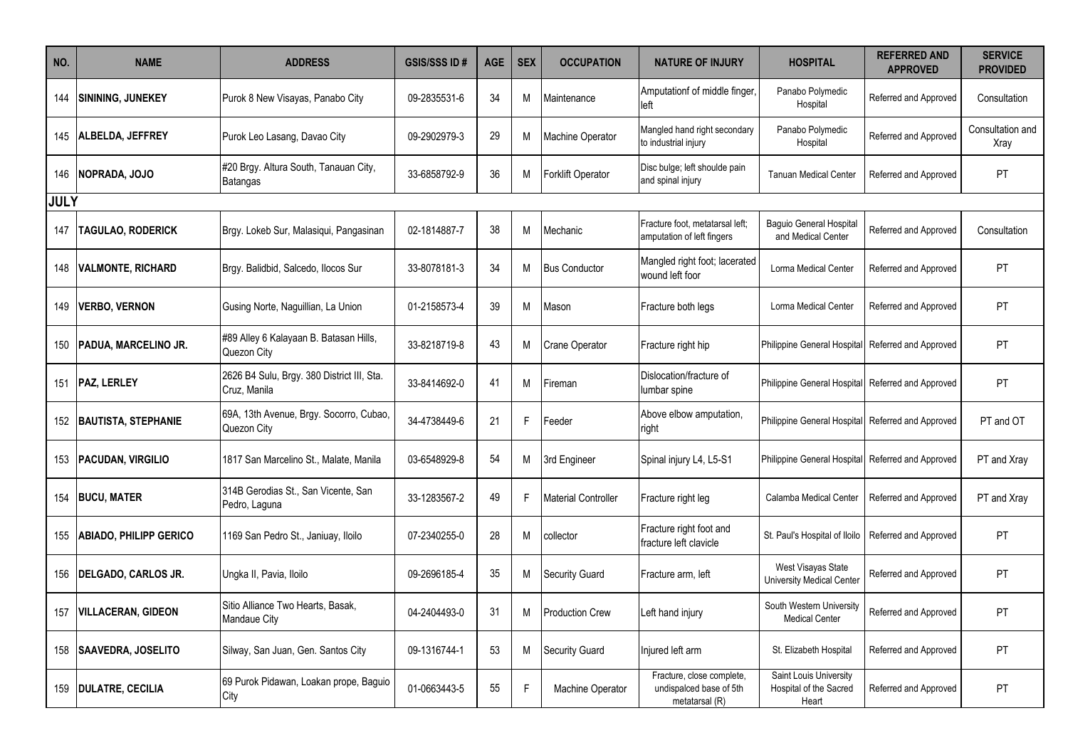| NO.         | <b>NAME</b>                   | <b>ADDRESS</b>                                             | <b>GSIS/SSS ID#</b> | <b>AGE</b> | <b>SEX</b> | <b>OCCUPATION</b>          | <b>NATURE OF INJURY</b>                                                | <b>HOSPITAL</b>                                           | <b>REFERRED AND</b><br><b>APPROVED</b> | <b>SERVICE</b><br><b>PROVIDED</b> |
|-------------|-------------------------------|------------------------------------------------------------|---------------------|------------|------------|----------------------------|------------------------------------------------------------------------|-----------------------------------------------------------|----------------------------------------|-----------------------------------|
| 144         | <b>SININING, JUNEKEY</b>      | Purok 8 New Visayas, Panabo City                           | 09-2835531-6        | 34         | М          | Maintenance                | Amputationf of middle finger<br>left                                   | Panabo Polymedic<br>Hospital                              | Referred and Approved                  | Consultation                      |
|             | 145   ALBELDA, JEFFREY        | Purok Leo Lasang, Davao City                               | 09-2902979-3        | 29         | M          | Machine Operator           | Mangled hand right secondary<br>to industrial injury                   | Panabo Polymedic<br>Hospital                              | Referred and Approved                  | Consultation and<br>Xray          |
| 146         | NOPRADA, JOJO                 | #20 Brgy. Altura South, Tanauan City,<br>Batangas          | 33-6858792-9        | 36         | М          | <b>Forklift Operator</b>   | Disc bulge; left shoulde pain<br>and spinal injury                     | <b>Tanuan Medical Center</b>                              | Referred and Approved                  | PT                                |
| <b>JULY</b> |                               |                                                            |                     |            |            |                            |                                                                        |                                                           |                                        |                                   |
| 147         | <b>TAGULAO, RODERICK</b>      | Brgy. Lokeb Sur, Malasiqui, Pangasinan                     | 02-1814887-7        | 38         | М          | Mechanic                   | Fracture foot, metatarsal left:<br>amputation of left fingers          | <b>Baquio General Hospital</b><br>and Medical Center      | Referred and Approved                  | Consultation                      |
| 148         | <b>VALMONTE, RICHARD</b>      | Brgy. Balidbid, Salcedo, Ilocos Sur                        | 33-8078181-3        | 34         | М          | <b>Bus Conductor</b>       | Mangled right foot; lacerated<br>wound left foor                       | Lorma Medical Center                                      | Referred and Approved                  | <b>PT</b>                         |
| 149         | <b>VERBO, VERNON</b>          | Gusing Norte, Naguillian, La Union                         | 01-2158573-4        | 39         | M          | Mason                      | Fracture both legs                                                     | Lorma Medical Center                                      | Referred and Approved                  | PT                                |
| 150         | <b>PADUA, MARCELINO JR.</b>   | #89 Alley 6 Kalayaan B. Batasan Hills,<br>Quezon City      | 33-8218719-8        | 43         | м          | <b>Crane Operator</b>      | Fracture right hip                                                     | Philippine General Hospital                               | Referred and Approved                  | PT                                |
|             | 151   PAZ, LERLEY             | 2626 B4 Sulu, Brgy. 380 District III, Sta.<br>Cruz, Manila | 33-8414692-0        | 41         | М          | Fireman                    | Dislocation/fracture of<br>lumbar spine                                | Philippine General Hospital                               | Referred and Approved                  | PT                                |
| 152         | <b>BAUTISTA, STEPHANIE</b>    | 69A, 13th Avenue, Brgy. Socorro, Cubao,<br>Quezon City     | 34-4738449-6        | 21         | F          | Feeder                     | Above elbow amputation,<br>right                                       | Philippine General Hospital                               | Referred and Approved                  | PT and OT                         |
| 153         | <b>PACUDAN, VIRGILIO</b>      | 1817 San Marcelino St., Malate, Manila                     | 03-6548929-8        | 54         | м          | 3rd Engineer               | Spinal injury L4, L5-S1                                                | Philippine General Hospital                               | Referred and Approved                  | PT and Xray                       |
| 154         | <b>BUCU, MATER</b>            | 314B Gerodias St., San Vicente, San<br>Pedro, Laguna       | 33-1283567-2        | 49         | F          | <b>Material Controller</b> | Fracture right leg                                                     | Calamba Medical Center                                    | Referred and Approved                  | PT and Xray                       |
| 155         | <b>ABIADO, PHILIPP GERICO</b> | 1169 San Pedro St., Janiuay, Iloilo                        | 07-2340255-0        | 28         | М          | collector                  | Fracture right foot and<br>fracture left clavicle                      | St. Paul's Hospital of Iloilo                             | Referred and Approved                  | PT                                |
| 156         | DELGADO, CARLOS JR.           | Ungka II, Pavia, Iloilo                                    | 09-2696185-4        | 35         | М          | <b>Security Guard</b>      | Fracture arm, left                                                     | West Visayas State<br><b>University Medical Center</b>    | Referred and Approved                  | PT                                |
| 157         | <b>VILLACERAN, GIDEON</b>     | Sitio Alliance Two Hearts, Basak,<br>Mandaue City          | 04-2404493-0        | 31         | м          | <b>Production Crew</b>     | Left hand injury                                                       | South Western University<br><b>Medical Center</b>         | Referred and Approved                  | <b>PT</b>                         |
| 158         | <b>SAAVEDRA, JOSELITO</b>     | Silway, San Juan, Gen. Santos City                         | 09-1316744-1        | 53         | м          | <b>Security Guard</b>      | Iniured left arm                                                       | St. Elizabeth Hospital                                    | Referred and Approved                  | <b>PT</b>                         |
| 159         | <b>DULATRE, CECILIA</b>       | 69 Purok Pidawan, Loakan prope, Baguio<br>City             | 01-0663443-5        | 55         | F.         | <b>Machine Operator</b>    | Fracture, close complete,<br>undispalced base of 5th<br>metatarsal (R) | Saint Louis University<br>Hospital of the Sacred<br>Heart | Referred and Approved                  | PT                                |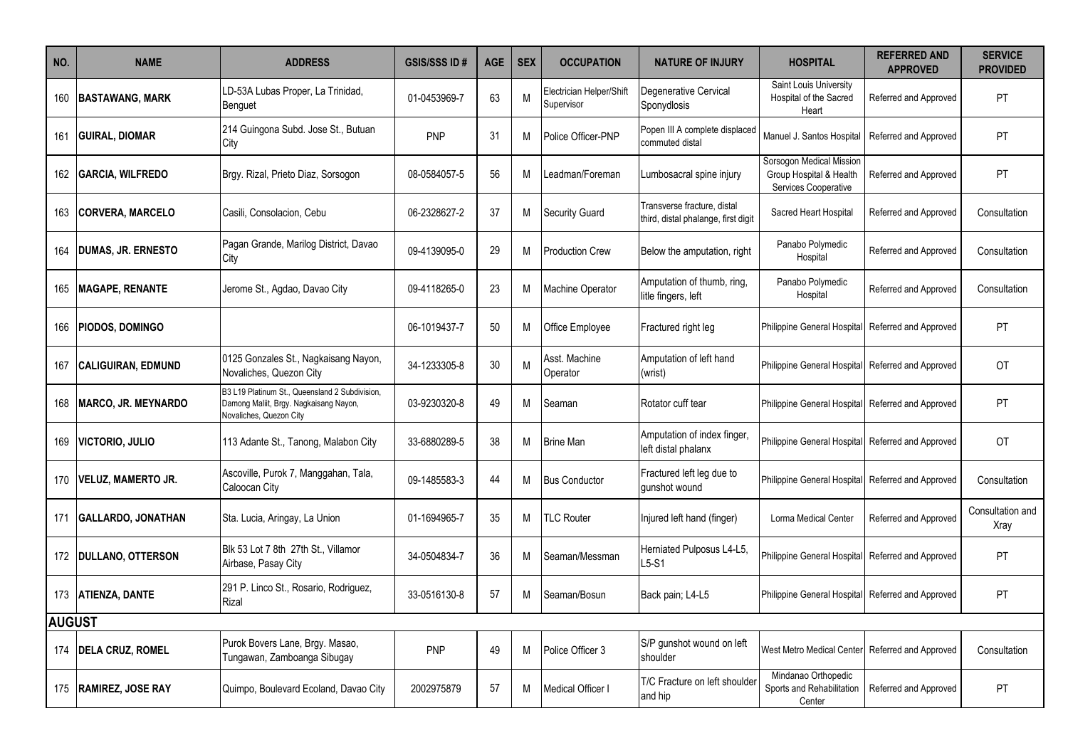| NO.           | <b>NAME</b>                | <b>ADDRESS</b>                                                                                                      | <b>GSIS/SSS ID#</b> | <b>AGE</b> | <b>SEX</b> | <b>OCCUPATION</b>                      | <b>NATURE OF INJURY</b>                                            | <b>HOSPITAL</b>                                                             | <b>REFERRED AND</b><br><b>APPROVED</b> | <b>SERVICE</b><br><b>PROVIDED</b> |
|---------------|----------------------------|---------------------------------------------------------------------------------------------------------------------|---------------------|------------|------------|----------------------------------------|--------------------------------------------------------------------|-----------------------------------------------------------------------------|----------------------------------------|-----------------------------------|
| 160           | <b>BASTAWANG, MARK</b>     | LD-53A Lubas Proper, La Trinidad,<br>Benguet                                                                        | 01-0453969-7        | 63         | M          | Electrician Helper/Shift<br>Supervisor | Degenerative Cervical<br>Sponydlosis                               | Saint Louis University<br>Hospital of the Sacred<br>Heart                   | Referred and Approved                  | <b>PT</b>                         |
| 161           | <b>GUIRAL, DIOMAR</b>      | 214 Guingona Subd. Jose St., Butuan<br>City                                                                         | PNP                 | 31         | М          | Police Officer-PNP                     | Popen III A complete displaced<br>commuted distal                  | Manuel J. Santos Hospital                                                   | Referred and Approved                  | PT                                |
| 162           | <b>GARCIA, WILFREDO</b>    | Brgy. Rizal, Prieto Diaz, Sorsogon                                                                                  | 08-0584057-5        | 56         | M          | eadman/Foreman                         | Lumbosacral spine injury                                           | Sorsogon Medical Mission<br>Group Hospital & Health<br>Services Cooperative | Referred and Approved                  | PT                                |
| 163           | <b>CORVERA, MARCELO</b>    | Casili, Consolacion, Cebu                                                                                           | 06-2328627-2        | 37         | M          | <b>Security Guard</b>                  | Transverse fracture, distal<br>third, distal phalange, first digit | Sacred Heart Hospital                                                       | Referred and Approved                  | Consultation                      |
| 164           | <b>DUMAS, JR. ERNESTO</b>  | Pagan Grande, Marilog District, Davao<br>City                                                                       | 09-4139095-0        | 29         | м          | <b>Production Crew</b>                 | Below the amputation, right                                        | Panabo Polymedic<br>Hospital                                                | Referred and Approved                  | Consultation                      |
| 165           | <b>MAGAPE, RENANTE</b>     | Jerome St., Agdao, Davao City                                                                                       | 09-4118265-0        | 23         | M          | Machine Operator                       | Amputation of thumb, ring,<br>litle fingers, left                  | Panabo Polymedic<br>Hospital                                                | Referred and Approved                  | Consultation                      |
| 166           | PIODOS, DOMINGO            |                                                                                                                     | 06-1019437-7        | 50         | М          | <b>Office Employee</b>                 | Fractured right leg                                                | Philippine General Hospital                                                 | Referred and Approved                  | <b>PT</b>                         |
| 167           | <b>CALIGUIRAN, EDMUND</b>  | 0125 Gonzales St., Nagkaisang Nayon,<br>Novaliches, Quezon City                                                     | 34-1233305-8        | 30         | M          | Asst. Machine<br>Operator              | Amputation of left hand<br>(wrist)                                 | Philippine General Hospital                                                 | Referred and Approved                  | OT                                |
| 168           | <b>MARCO, JR. MEYNARDO</b> | B3 L19 Platinum St., Queensland 2 Subdivision,<br>Damong Maliit, Brgy. Nagkaisang Nayon,<br>Novaliches, Quezon City | 03-9230320-8        | 49         | M          | Seaman                                 | Rotator cuff tear                                                  | Philippine General Hospital                                                 | Referred and Approved                  | PT                                |
| 169           | <b>VICTORIO, JULIO</b>     | 113 Adante St., Tanong, Malabon City                                                                                | 33-6880289-5        | 38         | М          | <b>Brine Man</b>                       | Amputation of index finger.<br>left distal phalanx                 | Philippine General Hospital                                                 | Referred and Approved                  | OT                                |
| 170           | <b>VELUZ, MAMERTO JR.</b>  | Ascoville, Purok 7, Manggahan, Tala,<br>Caloocan City                                                               | 09-1485583-3        | 44         | м          | <b>Bus Conductor</b>                   | Fractured left leg due to<br>aunshot wound                         | Philippine General Hospital                                                 | Referred and Approved                  | Consultation                      |
| 171           | GALLARDO, JONATHAN         | Sta. Lucia, Aringay, La Union                                                                                       | 01-1694965-7        | 35         | М          | <b>TLC Router</b>                      | Injured left hand (finger)                                         | Lorma Medical Center                                                        | Referred and Approved                  | Consultation and<br>Xray          |
|               | 172 DULLANO, OTTERSON      | Blk 53 Lot 7 8th 27th St., Villamor<br>Airbase, Pasay City                                                          | 34-0504834-7        | 36         | м          | Seaman/Messman                         | Herniated Pulposus L4-L5,<br>$L5-S1$                               | Philippine General Hospital                                                 | Referred and Approved                  | <b>PT</b>                         |
| 173           | <b>ATIENZA, DANTE</b>      | 291 P. Linco St., Rosario, Rodriguez,<br>Rizal                                                                      | 33-0516130-8        | 57         | М          | Seaman/Bosun                           | Back pain; L4-L5                                                   | Philippine General Hospital                                                 | Referred and Approved                  | PT                                |
| <b>AUGUST</b> |                            |                                                                                                                     |                     |            |            |                                        |                                                                    |                                                                             |                                        |                                   |
| 174           | <b>DELA CRUZ, ROMEL</b>    | Purok Bovers Lane, Brgy. Masao,<br>Tungawan, Zamboanga Sibugay                                                      | <b>PNP</b>          | 49         | м          | Police Officer 3                       | S/P gunshot wound on left<br>shoulder                              | West Metro Medical Center                                                   | Referred and Approved                  | Consultation                      |
|               | 175  RAMIREZ, JOSE RAY     | Quimpo, Boulevard Ecoland, Davao City                                                                               | 2002975879          | 57         | м          | Medical Officer I                      | T/C Fracture on left shoulder<br>and hip                           | Mindanao Orthopedic<br>Sports and Rehabilitation<br>Center                  | Referred and Approved                  | PT                                |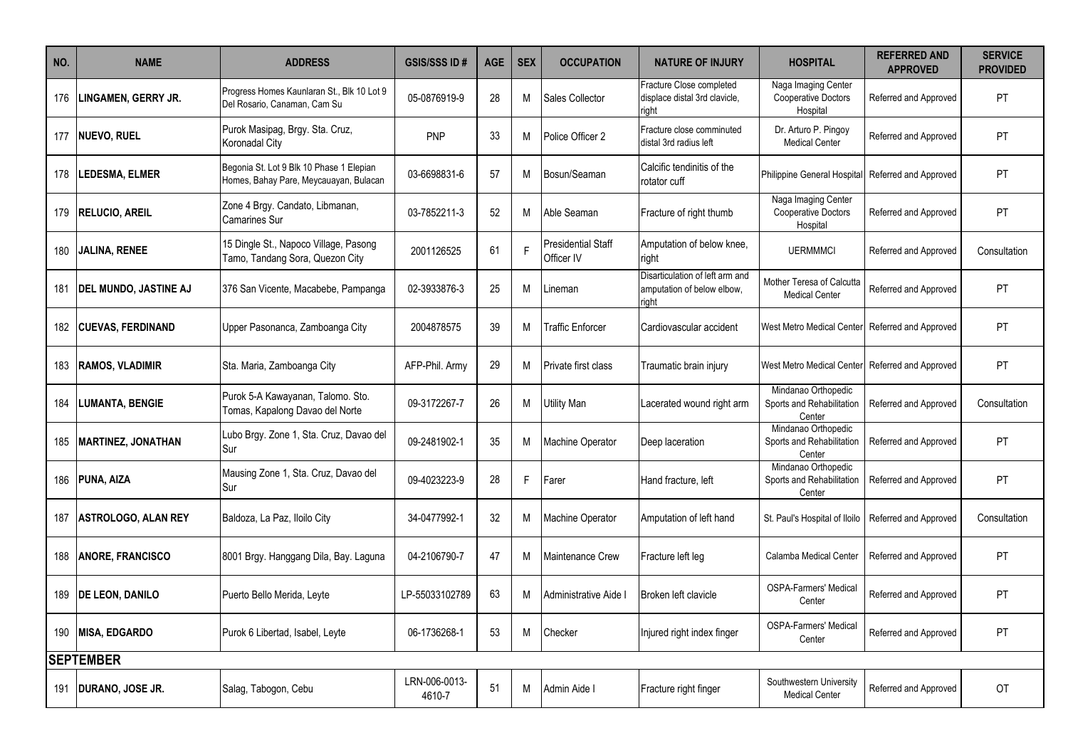| NO. | <b>NAME</b>                | <b>ADDRESS</b>                                                                     | <b>GSIS/SSS ID#</b>     | <b>AGE</b> | <b>SEX</b> | <b>OCCUPATION</b>                | <b>NATURE OF INJURY</b>                                               | <b>HOSPITAL</b>                                               | <b>REFERRED AND</b><br><b>APPROVED</b> | <b>SERVICE</b><br><b>PROVIDED</b> |
|-----|----------------------------|------------------------------------------------------------------------------------|-------------------------|------------|------------|----------------------------------|-----------------------------------------------------------------------|---------------------------------------------------------------|----------------------------------------|-----------------------------------|
| 176 | LINGAMEN, GERRY JR.        | Progress Homes Kaunlaran St., Blk 10 Lot 9<br>Del Rosario, Canaman, Cam Su         | 05-0876919-9            | 28         | М          | Sales Collector                  | Fracture Close completed<br>displace distal 3rd clavicle,<br>riaht    | Naga Imaging Center<br><b>Cooperative Doctors</b><br>Hospital | Referred and Approved                  | PT                                |
| 177 | <b>NUEVO, RUEL</b>         | Purok Masipag, Brgy. Sta. Cruz,<br><b>Koronadal City</b>                           | <b>PNP</b>              | 33         | м          | Police Officer 2                 | Fracture close comminuted<br>distal 3rd radius left                   | Dr. Arturo P. Pingoy<br><b>Medical Center</b>                 | Referred and Approved                  | PT                                |
| 178 | LEDESMA, ELMER             | Begonia St. Lot 9 Blk 10 Phase 1 Elepian<br>Homes, Bahay Pare, Meycauayan, Bulacan | 03-6698831-6            | 57         | м          | Bosun/Seaman                     | Calcific tendinitis of the<br>rotator cuff                            | Philippine General Hospita                                    | Referred and Approved                  | PT                                |
| 179 | <b>RELUCIO, AREIL</b>      | Zone 4 Brgy. Candato, Libmanan,<br><b>Camarines Sur</b>                            | 03-7852211-3            | 52         | M          | Able Seaman                      | Fracture of right thumb                                               | Naga Imaging Center<br><b>Cooperative Doctors</b><br>Hospital | Referred and Approved                  | <b>PT</b>                         |
| 180 | JALINA, RENEE              | 15 Dingle St., Napoco Village, Pasong<br>Tamo, Tandang Sora, Quezon City           | 2001126525              | 61         | F          | Presidential Staff<br>Officer IV | Amputation of below knee,<br>right                                    | <b>UERMMMCI</b>                                               | Referred and Approved                  | Consultation                      |
| 181 | DEL MUNDO, JASTINE AJ      | 376 San Vicente, Macabebe, Pampanga                                                | 02-3933876-3            | 25         | м          | _ineman                          | Disarticulation of left arm and<br>amputation of below elbow.<br>iaht | Mother Teresa of Calcutta<br><b>Medical Center</b>            | Referred and Approved                  | PT                                |
|     | 182 CUEVAS, FERDINAND      | Upper Pasonanca, Zamboanga City                                                    | 2004878575              | 39         | М          | Traffic Enforcer                 | Cardiovascular accident                                               | West Metro Medical Center                                     | Referred and Approved                  | PT                                |
| 183 | <b>RAMOS, VLADIMIR</b>     | Sta. Maria, Zamboanga City                                                         | AFP-Phil. Army          | 29         | М          | <b>IPrivate first class</b>      | Traumatic brain injury                                                | West Metro Medical Center                                     | Referred and Approved                  | PT                                |
| 184 | LUMANTA, BENGIE            | Purok 5-A Kawayanan, Talomo. Sto.<br>Tomas, Kapalong Davao del Norte               | 09-3172267-7            | 26         | M          | <b>Utility Man</b>               | Lacerated wound right arm                                             | Mindanao Orthopedic<br>Sports and Rehabilitation<br>Center    | Referred and Approved                  | Consultation                      |
|     | 185   MARTINEZ, JONATHAN   | Lubo Brgy. Zone 1, Sta. Cruz, Davao del<br>Sur                                     | 09-2481902-1            | 35         | M          | <b>Machine Operator</b>          | Deep laceration                                                       | Mindanao Orthopedic<br>Sports and Rehabilitation<br>Center    | Referred and Approved                  | PT                                |
| 186 | PUNA, AIZA                 | Mausing Zone 1, Sta. Cruz, Davao del<br>Sur                                        | 09-4023223-9            | 28         | F          | Farer                            | Hand fracture, left                                                   | Mindanao Orthopedic<br>Sports and Rehabilitation<br>Center    | Referred and Approved                  | PT                                |
| 187 | <b>ASTROLOGO, ALAN REY</b> | Baldoza, La Paz, Iloilo City                                                       | 34-0477992-1            | 32         | м          | <b>Machine Operator</b>          | Amputation of left hand                                               | St. Paul's Hospital of Iloilo                                 | Referred and Approved                  | Consultation                      |
| 188 | <b>ANORE, FRANCISCO</b>    | 8001 Brgy. Hanggang Dila, Bay. Laguna                                              | 04-2106790-7            | 47         | М          | Maintenance Crew                 | Fracture left leg                                                     | Calamba Medical Center                                        | Referred and Approved                  | PT                                |
| 189 | <b>DE LEON, DANILO</b>     | Puerto Bello Merida, Leyte                                                         | LP-55033102789          | 63         | м          | Administrative Aide I            | Broken left clavicle                                                  | <b>OSPA-Farmers' Medical</b><br>Center                        | Referred and Approved                  | <b>PT</b>                         |
|     | 190 MISA, EDGARDO          | Purok 6 Libertad, Isabel, Leyte                                                    | 06-1736268-1            | 53         | м          | Checker                          | Injured right index finger                                            | <b>OSPA-Farmers' Medical</b><br>Center                        | Referred and Approved                  | PT                                |
|     | <b>SEPTEMBER</b>           |                                                                                    |                         |            |            |                                  |                                                                       |                                                               |                                        |                                   |
|     | 191   DURANO, JOSE JR.     | Salag, Tabogon, Cebu                                                               | LRN-006-0013-<br>4610-7 | 51         | М          | Admin Aide I                     | Fracture right finger                                                 | Southwestern University<br><b>Medical Center</b>              | Referred and Approved                  | OT                                |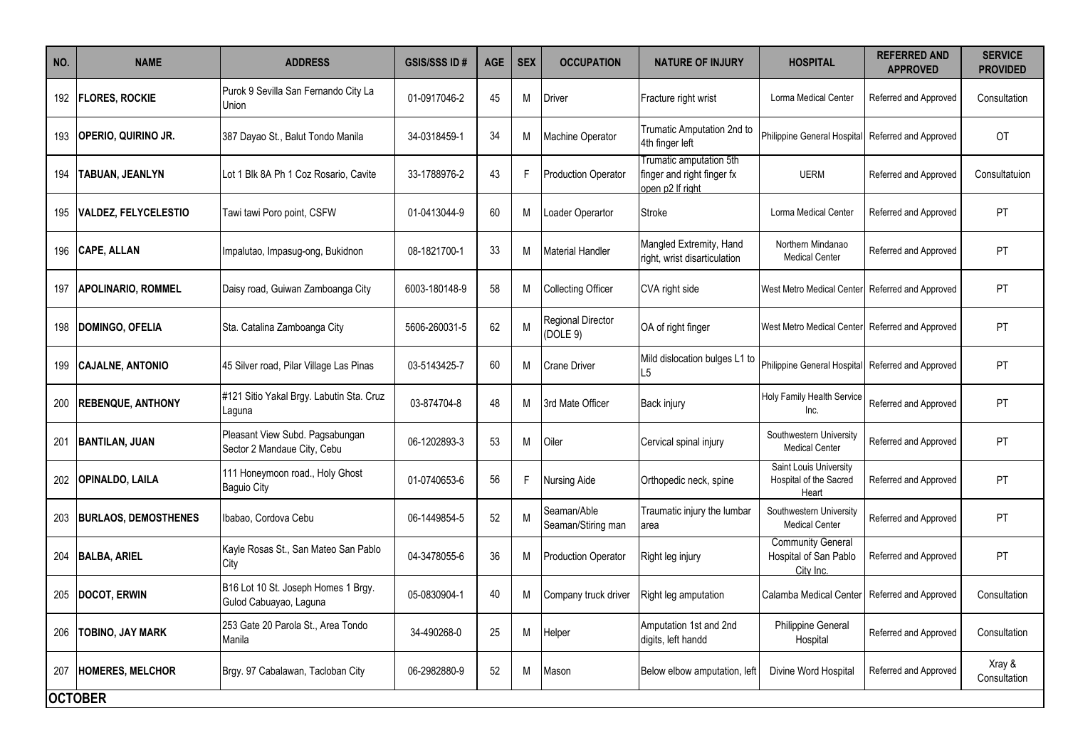| NO. | <b>NAME</b>                 | <b>ADDRESS</b>                                                 | <b>GSIS/SSS ID#</b> | <b>AGE</b> | <b>SEX</b> | <b>OCCUPATION</b>                 | <b>NATURE OF INJURY</b>                                                   | <b>HOSPITAL</b>                                                | <b>REFERRED AND</b><br><b>APPROVED</b> | <b>SERVICE</b><br><b>PROVIDED</b> |
|-----|-----------------------------|----------------------------------------------------------------|---------------------|------------|------------|-----------------------------------|---------------------------------------------------------------------------|----------------------------------------------------------------|----------------------------------------|-----------------------------------|
|     | 192   FLORES, ROCKIE        | Purok 9 Sevilla San Fernando City La<br>Union                  | 01-0917046-2        | 45         | M          | Driver                            | Fracture right wrist                                                      | Lorma Medical Center                                           | Referred and Approved                  | Consultation                      |
| 193 | <b>OPERIO, QUIRINO JR.</b>  | 387 Dayao St., Balut Tondo Manila                              | 34-0318459-1        | 34         | М          | Machine Operator                  | <b>Trumatic Amputation 2nd to</b><br>4th finger left                      | Philippine General Hospital                                    | Referred and Approved                  | OT                                |
| 194 | TABUAN, JEANLYN             | Lot 1 Blk 8A Ph 1 Coz Rosario, Cavite                          | 33-1788976-2        | 43         | F.         | <b>Production Operator</b>        | Trumatic amputation 5th<br>finger and right finger fx<br>open p2 If right | <b>UERM</b>                                                    | Referred and Approved                  | Consultatuion                     |
| 195 | <b>VALDEZ, FELYCELESTIO</b> | Tawi tawi Poro point, CSFW                                     | 01-0413044-9        | 60         | М          | Loader Operartor                  | <b>Stroke</b>                                                             | <b>Lorma Medical Center</b>                                    | Referred and Approved                  | PT                                |
| 196 | <b>CAPE, ALLAN</b>          | Impalutao, Impasug-ong, Bukidnon                               | 08-1821700-1        | 33         | М          | <b>Material Handler</b>           | Mangled Extremity, Hand<br>right, wrist disarticulation                   | Northern Mindanao<br><b>Medical Center</b>                     | Referred and Approved                  | PT                                |
| 197 | <b>APOLINARIO, ROMMEL</b>   | Daisy road, Guiwan Zamboanga City                              | 6003-180148-9       | 58         | Μ          | <b>Collecting Officer</b>         | CVA right side                                                            | West Metro Medical Center                                      | Referred and Approved                  | PT                                |
| 198 | DOMINGO, OFELIA             | Sta. Catalina Zamboanga City                                   | 5606-260031-5       | 62         | М          | Regional Director<br>(DOLE 9)     | OA of right finger                                                        | West Metro Medical Center                                      | Referred and Approved                  | PT                                |
| 199 | <b>CAJALNE, ANTONIO</b>     | 45 Silver road, Pilar Village Las Pinas                        | 03-5143425-7        | 60         | М          | <b>Crane Driver</b>               | Mild dislocation bulges L1 to<br>L5                                       | Philippine General Hospital                                    | Referred and Approved                  | PT                                |
| 200 | <b>REBENQUE, ANTHONY</b>    | #121 Sitio Yakal Brgy. Labutin Sta. Cruz<br>Laquna             | 03-874704-8         | 48         | М          | 3rd Mate Officer                  | Back injury                                                               | Holy Family Health Service<br>Inc.                             | Referred and Approved                  | PT                                |
| 201 | <b>BANTILAN, JUAN</b>       | Pleasant View Subd. Pagsabungan<br>Sector 2 Mandaue City, Cebu | 06-1202893-3        | 53         | М          | Oiler                             | Cervical spinal injury                                                    | Southwestern University<br><b>Medical Center</b>               | Referred and Approved                  | PT                                |
| 202 | <b>OPINALDO, LAILA</b>      | 111 Honeymoon road., Holy Ghost<br><b>Baguio City</b>          | 01-0740653-6        | 56         | F.         | Nursing Aide                      | Orthopedic neck, spine                                                    | Saint Louis University<br>Hospital of the Sacred<br>Heart      | Referred and Approved                  | <b>PT</b>                         |
| 203 | <b>BURLAOS, DEMOSTHENES</b> | Ibabao, Cordova Cebu                                           | 06-1449854-5        | 52         | М          | Seaman/Able<br>Seaman/Stiring man | Traumatic injury the lumbar<br>area                                       | Southwestern University<br><b>Medical Center</b>               | Referred and Approved                  | PT                                |
| 204 | <b>BALBA, ARIEL</b>         | Kayle Rosas St., San Mateo San Pablo<br>City                   | 04-3478055-6        | 36         | М          | <b>Production Operator</b>        | Right leg injury                                                          | <b>Community General</b><br>Hospital of San Pablo<br>City Inc. | Referred and Approved                  | PT                                |
| 205 | <b>DOCOT, ERWIN</b>         | B16 Lot 10 St. Joseph Homes 1 Brgy.<br>Gulod Cabuayao, Laguna  | 05-0830904-1        | 40         | Μ          | Company truck driver              | Right leg amputation                                                      | Calamba Medical Center                                         | Referred and Approved                  | Consultation                      |
| 206 | TOBINO, JAY MARK            | 253 Gate 20 Parola St., Area Tondo<br>Manila                   | 34-490268-0         | 25         | М          | Helper                            | Amputation 1st and 2nd<br>digits, left handd                              | <b>Philippine General</b><br>Hospital                          | Referred and Approved                  | Consultation                      |
| 207 | <b>HOMERES. MELCHOR</b>     | Brgy. 97 Cabalawan, Tacloban City                              | 06-2982880-9        | 52         | М          | Mason                             | Below elbow amputation, left                                              | Divine Word Hospital                                           | Referred and Approved                  | Xray &<br>Consultation            |
|     | <b>OCTOBER</b>              |                                                                |                     |            |            |                                   |                                                                           |                                                                |                                        |                                   |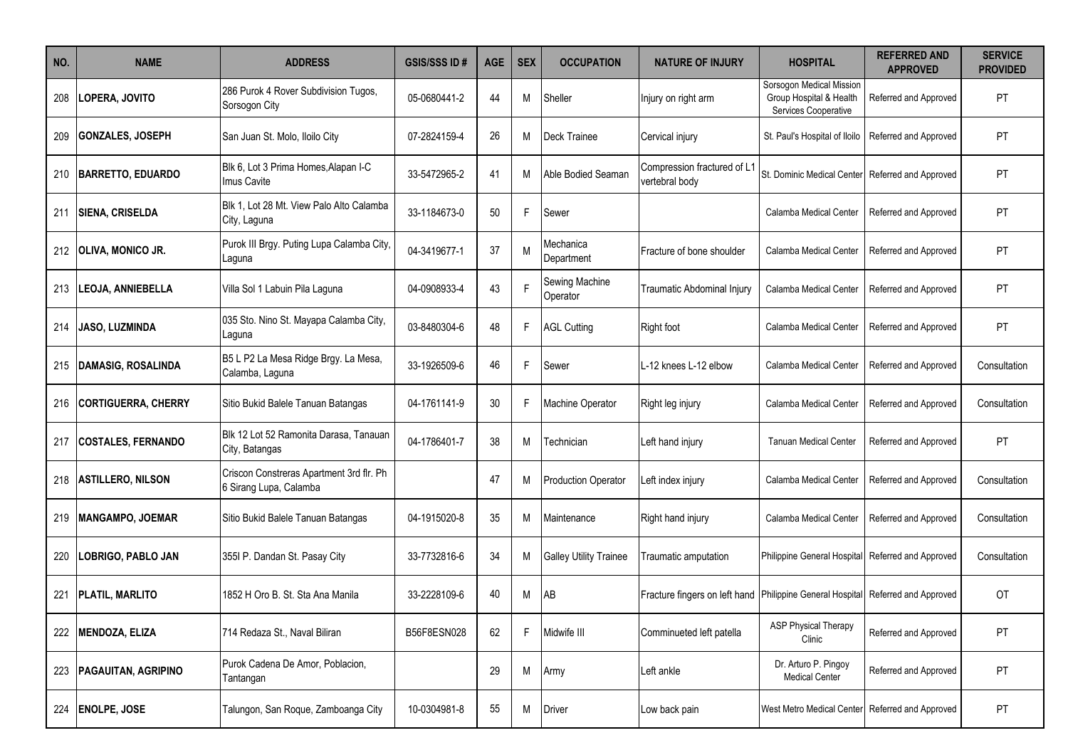| NO. | <b>NAME</b>                  | <b>ADDRESS</b>                                                     | <b>GSIS/SSS ID#</b> | <b>AGE</b> | <b>SEX</b> | <b>OCCUPATION</b>             | <b>NATURE OF INJURY</b>                                                         | <b>HOSPITAL</b>                                                             | <b>REFERRED AND</b><br><b>APPROVED</b> | <b>SERVICE</b><br><b>PROVIDED</b> |
|-----|------------------------------|--------------------------------------------------------------------|---------------------|------------|------------|-------------------------------|---------------------------------------------------------------------------------|-----------------------------------------------------------------------------|----------------------------------------|-----------------------------------|
| 208 | LOPERA, JOVITO               | 286 Purok 4 Rover Subdivision Tugos,<br>Sorsogon City              | 05-0680441-2        | 44         | М          | Sheller                       | Injury on right arm                                                             | Sorsogon Medical Mission<br>Group Hospital & Health<br>Services Cooperative | Referred and Approved                  | <b>PT</b>                         |
| 209 | <b>GONZALES, JOSEPH</b>      | San Juan St. Molo, Iloilo City                                     | 07-2824159-4        | 26         | М          | <b>Deck Trainee</b>           | Cervical injury                                                                 | St. Paul's Hospital of Iloilo                                               | Referred and Approved                  | PT                                |
| 210 | <b>BARRETTO, EDUARDO</b>     | Blk 6, Lot 3 Prima Homes, Alapan I-C<br>Imus Cavite                | 33-5472965-2        | 41         | м          | Able Bodied Seaman            | Compression fractured of L1<br>vertebral body                                   | St. Dominic Medical Center                                                  | Referred and Approved                  | PT                                |
| 211 | <b>SIENA, CRISELDA</b>       | Blk 1, Lot 28 Mt. View Palo Alto Calamba<br>City, Laguna           | 33-1184673-0        | 50         | F.         | Sewer                         |                                                                                 | Calamba Medical Center                                                      | Referred and Approved                  | PT                                |
|     | 212 <b>OLIVA, MONICO JR.</b> | Purok III Brgy. Puting Lupa Calamba City,<br>Laguna                | 04-3419677-1        | 37         | М          | Mechanica<br>Department       | Fracture of bone shoulder                                                       | Calamba Medical Center                                                      | Referred and Approved                  | <b>PT</b>                         |
| 213 | <b>LEOJA, ANNIEBELLA</b>     | Villa Sol 1 Labuin Pila Laguna                                     | 04-0908933-4        | 43         | F          | Sewing Machine<br>Operator    | Traumatic Abdominal Injury                                                      | Calamba Medical Center                                                      | Referred and Approved                  | <b>PT</b>                         |
| 214 | <b>JASO, LUZMINDA</b>        | 035 Sto. Nino St. Mayapa Calamba City,<br>Laguna                   | 03-8480304-6        | 48         | F.         | <b>AGL Cutting</b>            | <b>Right foot</b>                                                               | Calamba Medical Center                                                      | Referred and Approved                  | PT                                |
| 215 | <b>DAMASIG, ROSALINDA</b>    | B5 L P2 La Mesa Ridge Brgy. La Mesa,<br>Calamba, Laguna            | 33-1926509-6        | 46         | F.         | Sewer                         | L-12 knees L-12 elbow                                                           | Calamba Medical Center                                                      | Referred and Approved                  | Consultation                      |
| 216 | <b>CORTIGUERRA, CHERRY</b>   | Sitio Bukid Balele Tanuan Batangas                                 | 04-1761141-9        | 30         | F.         | <b>Machine Operator</b>       | Right leg injury                                                                | Calamba Medical Center                                                      | Referred and Approved                  | Consultation                      |
| 217 | <b>COSTALES, FERNANDO</b>    | Blk 12 Lot 52 Ramonita Darasa, Tanauan<br>City, Batangas           | 04-1786401-7        | 38         | М          | Technician                    | Left hand injury                                                                | <b>Tanuan Medical Center</b>                                                | Referred and Approved                  | <b>PT</b>                         |
|     | 218   ASTILLERO, NILSON      | Criscon Constreras Apartment 3rd flr. Ph<br>6 Sirang Lupa, Calamba |                     | 47         | М          | <b>Production Operator</b>    | Left index injury                                                               | Calamba Medical Center                                                      | Referred and Approved                  | Consultation                      |
| 219 | <b>MANGAMPO, JOEMAR</b>      | Sitio Bukid Balele Tanuan Batangas                                 | 04-1915020-8        | 35         | М          | Maintenance                   | Right hand injury                                                               | Calamba Medical Center                                                      | Referred and Approved                  | Consultation                      |
| 220 | LOBRIGO, PABLO JAN           | 355I P. Dandan St. Pasay City                                      | 33-7732816-6        | 34         | Μ          | <b>Galley Utility Trainee</b> | Traumatic amputation                                                            | Philippine General Hospital                                                 | Referred and Approved                  | Consultation                      |
| 221 | <b>PLATIL, MARLITO</b>       | 1852 H Oro B. St. Sta Ana Manila                                   | 33-2228109-6        | 40         | М          | AB                            | Fracture fingers on left hand Philippine General Hospital Referred and Approved |                                                                             |                                        | <b>OT</b>                         |
| 222 | <b>MENDOZA, ELIZA</b>        | 714 Redaza St., Naval Biliran                                      | B56F8ESN028         | 62         | F.         | Midwife III                   | Comminueted left patella                                                        | <b>ASP Physical Therapy</b><br>Clinic                                       | Referred and Approved                  | PT                                |
| 223 | <b>PAGAUITAN, AGRIPINO</b>   | Purok Cadena De Amor, Poblacion,<br>Tantangan                      |                     | 29         | М          | Army                          | Left ankle                                                                      | Dr. Arturo P. Pingoy<br><b>Medical Center</b>                               | Referred and Approved                  | PT                                |
| 224 | <b>ENOLPE, JOSE</b>          | Talungon, San Roque, Zamboanga City                                | 10-0304981-8        | 55         | M          | <b>Driver</b>                 | Low back pain                                                                   | West Metro Medical Center                                                   | Referred and Approved                  | PT                                |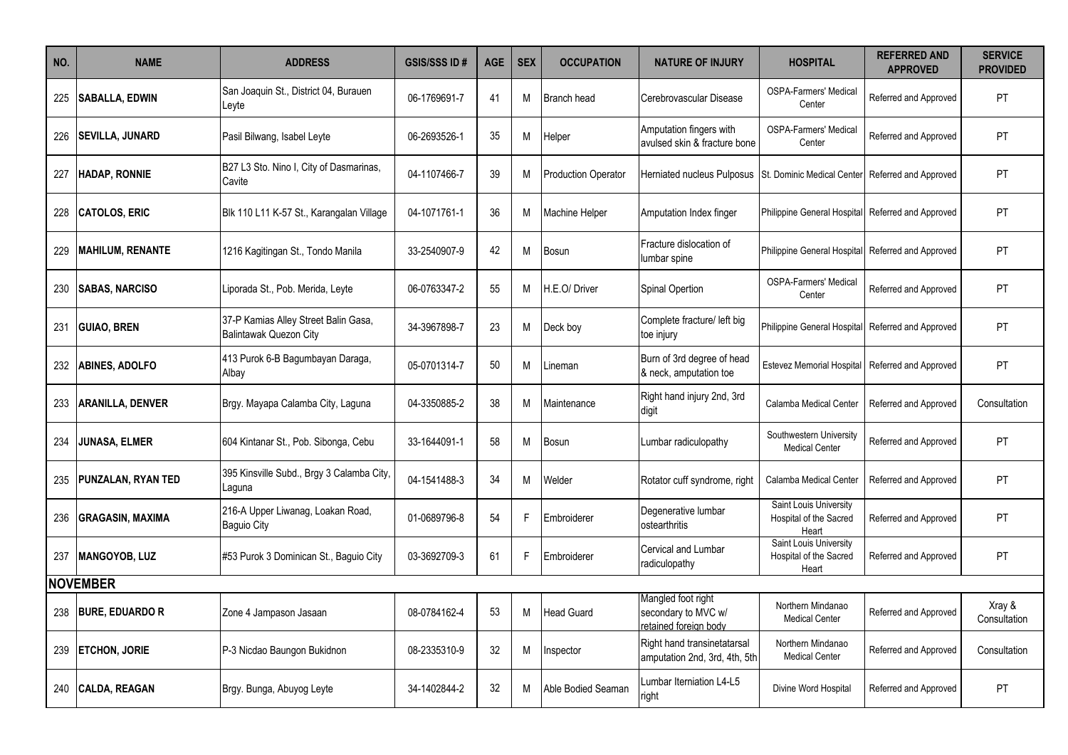| NO. | <b>NAME</b>             | <b>ADDRESS</b>                                                        | <b>GSIS/SSS ID#</b> | <b>AGE</b> | <b>SEX</b> | <b>OCCUPATION</b>          | <b>NATURE OF INJURY</b>                                            | <b>HOSPITAL</b>                                           | <b>REFERRED AND</b><br><b>APPROVED</b> | <b>SERVICE</b><br><b>PROVIDED</b> |
|-----|-------------------------|-----------------------------------------------------------------------|---------------------|------------|------------|----------------------------|--------------------------------------------------------------------|-----------------------------------------------------------|----------------------------------------|-----------------------------------|
| 225 | <b>SABALLA, EDWIN</b>   | San Joaquin St., District 04, Burauen<br>Leyte                        | 06-1769691-7        | 41         | м          | Branch head                | Cerebrovascular Disease                                            | <b>OSPA-Farmers' Medical</b><br>Center                    | Referred and Approved                  | PT.                               |
| 226 | <b>SEVILLA, JUNARD</b>  | Pasil Bilwang, Isabel Leyte                                           | 06-2693526-1        | 35         | M          | Helper                     | Amputation fingers with<br>avulsed skin & fracture bone            | <b>OSPA-Farmers' Medical</b><br>Center                    | Referred and Approved                  | PT.                               |
| 227 | <b>HADAP, RONNIE</b>    | B27 L3 Sto. Nino I, City of Dasmarinas,<br>Cavite                     | 04-1107466-7        | 39         | M          | <b>Production Operator</b> | <b>Herniated nucleus Pulposus</b>                                  | <b>St. Dominic Medical Center</b>                         | Referred and Approved                  | PT                                |
| 228 | <b>CATOLOS, ERIC</b>    | Blk 110 L11 K-57 St., Karangalan Village                              | 04-1071761-1        | 36         | М          | <b>Machine Helper</b>      | Amputation Index finger                                            | Philippine General Hospital Referred and Approved         |                                        | PT                                |
| 229 | <b>MAHILUM, RENANTE</b> | 1216 Kagitingan St., Tondo Manila                                     | 33-2540907-9        | 42         | M          | Bosun                      | Fracture dislocation of<br>umbar spine                             | Philippine General Hospital Referred and Approved         |                                        | PT                                |
| 230 | <b>SABAS, NARCISO</b>   | Liporada St., Pob. Merida, Leyte                                      | 06-0763347-2        | 55         | M          | H.E.O/Driver               | Spinal Opertion                                                    | <b>OSPA-Farmers' Medical</b><br>Center                    | Referred and Approved                  | PT                                |
| 231 | <b>GUIAO, BREN</b>      | 37-P Kamias Alley Street Balin Gasa,<br><b>Balintawak Quezon City</b> | 34-3967898-7        | 23         | M          | Deck boy                   | Complete fracture/ left big<br>toe injury                          | Philippine General Hospital Referred and Approved         |                                        | PT.                               |
| 232 | <b>ABINES, ADOLFO</b>   | 413 Purok 6-B Bagumbayan Daraga,<br>Albav                             | 05-0701314-7        | 50         | M          | Lineman                    | Burn of 3rd degree of head<br>& neck, amputation toe               | <b>Estevez Memorial Hospital</b>                          | Referred and Approved                  | PT                                |
| 233 | ARANILLA, DENVER        | Brgy. Mayapa Calamba City, Laguna                                     | 04-3350885-2        | 38         | M          | Maintenance                | Right hand injury 2nd, 3rd<br>digit                                | Calamba Medical Center                                    | Referred and Approved                  | Consultation                      |
| 234 | <b>JUNASA, ELMER</b>    | 604 Kintanar St., Pob. Sibonga, Cebu                                  | 33-1644091-1        | 58         | М          | Bosun                      | Lumbar radiculopathy                                               | Southwestern University<br><b>Medical Center</b>          | Referred and Approved                  | PT.                               |
| 235 | PUNZALAN, RYAN TED      | 395 Kinsville Subd., Brgy 3 Calamba City,<br>aguna                    | 04-1541488-3        | 34         | М          | Welder                     | Rotator cuff syndrome, right                                       | Calamba Medical Center                                    | Referred and Approved                  | PT                                |
| 236 | <b>GRAGASIN, MAXIMA</b> | 216-A Upper Liwanag, Loakan Road,<br>Baguio City                      | 01-0689796-8        | 54         | F          | Embroiderer                | Degenerative lumbar<br>ostearthritis                               | Saint Louis University<br>Hospital of the Sacred<br>Heart | Referred and Approved                  | PT                                |
| 237 | <b>MANGOYOB, LUZ</b>    | #53 Purok 3 Dominican St., Baguio City                                | 03-3692709-3        | 61         | F.         | Embroiderer                | Cervical and Lumbar<br>radiculopathy                               | Saint Louis University<br>Hospital of the Sacred<br>Heart | Referred and Approved                  | PT.                               |
|     | <b>NOVEMBER</b>         |                                                                       |                     |            |            |                            |                                                                    |                                                           |                                        |                                   |
| 238 | <b>BURE, EDUARDO R</b>  | Zone 4 Jampason Jasaan                                                | 08-0784162-4        | 53         | M          | Head Guard                 | Mangled foot right<br>secondary to MVC w/<br>retained foreign body | Northern Mindanao<br><b>Medical Center</b>                | Referred and Approved                  | Xray &<br>Consultation            |
| 239 | <b>ETCHON, JORIE</b>    | P-3 Nicdao Baungon Bukidnon                                           | 08-2335310-9        | 32         | M          | nspector                   | Right hand transinetatarsal<br>amputation 2nd, 3rd, 4th, 5th       | Northern Mindanao<br><b>Medical Center</b>                | Referred and Approved                  | Consultation                      |
| 240 | <b>CALDA, REAGAN</b>    | Brgy. Bunga, Abuyog Leyte                                             | 34-1402844-2        | 32         | М          | Able Bodied Seaman         | umbar Iterniation L4-L5<br>right                                   | Divine Word Hospital                                      | Referred and Approved                  | PT.                               |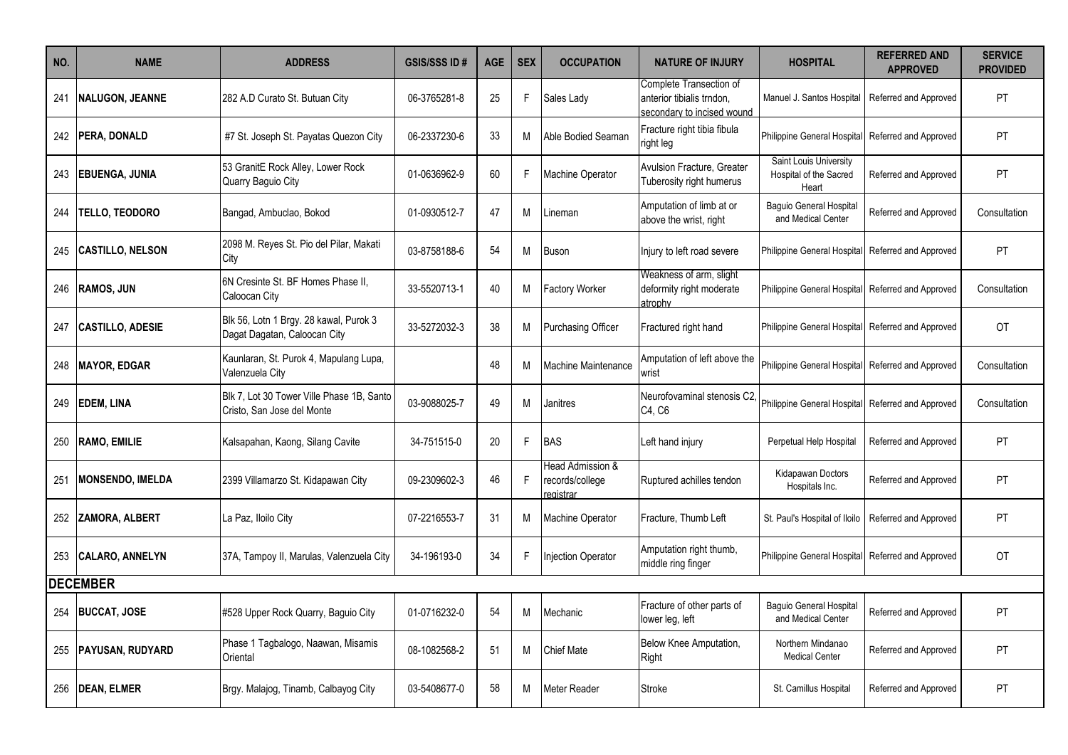| NO. | <b>NAME</b>             | <b>ADDRESS</b>                                                          | <b>GSIS/SSS ID#</b> | <b>AGE</b> | <b>SEX</b> | <b>OCCUPATION</b>                                | <b>NATURE OF INJURY</b>                                                            | <b>HOSPITAL</b>                                           | <b>REFERRED AND</b><br><b>APPROVED</b> | <b>SERVICE</b><br><b>PROVIDED</b> |
|-----|-------------------------|-------------------------------------------------------------------------|---------------------|------------|------------|--------------------------------------------------|------------------------------------------------------------------------------------|-----------------------------------------------------------|----------------------------------------|-----------------------------------|
| 241 | <b>NALUGON, JEANNE</b>  | 282 A.D Curato St. Butuan City                                          | 06-3765281-8        | 25         | F.         | Sales Lady                                       | Complete Transection of<br>anterior tibialis trndon,<br>secondary to incised wound | Manuel J. Santos Hospital                                 | Referred and Approved                  | PT                                |
|     | 242   PERA, DONALD      | #7 St. Joseph St. Payatas Quezon City                                   | 06-2337230-6        | 33         | м          | Able Bodied Seaman                               | Fracture right tibia fibula<br>right leg                                           | Philippine General Hospital                               | Referred and Approved                  | PT                                |
| 243 | EBUENGA, JUNIA          | 53 GranitE Rock Alley, Lower Rock<br>Quarry Baquio City                 | 01-0636962-9        | 60         | F.         | Machine Operator                                 | Avulsion Fracture, Greater<br>Tuberosity right humerus                             | Saint Louis University<br>Hospital of the Sacred<br>Heart | Referred and Approved                  | PT                                |
| 244 | <b>TELLO, TEODORO</b>   | Bangad, Ambuclao, Bokod                                                 | 01-0930512-7        | 47         | М          | Lineman                                          | Amputation of limb at or<br>above the wrist, right                                 | <b>Baquio General Hospital</b><br>and Medical Center      | Referred and Approved                  | Consultation                      |
| 245 | <b>CASTILLO, NELSON</b> | 2098 M. Reyes St. Pio del Pilar, Makati<br>City                         | 03-8758188-6        | 54         | м          | <b>Buson</b>                                     | Injury to left road severe                                                         | Philippine General Hospital                               | Referred and Approved                  | PT                                |
| 246 | <b>RAMOS, JUN</b>       | I6N Cresinte St. BF Homes Phase II.<br>Caloocan City                    | 33-5520713-1        | 40         | M          | <b>Factory Worker</b>                            | Weakness of arm, slight<br>deformity right moderate<br>atrophy                     | Philippine General Hospital                               | Referred and Approved                  | Consultation                      |
| 247 | <b>CASTILLO, ADESIE</b> | Blk 56, Lotn 1 Brgy. 28 kawal, Purok 3<br>Dagat Dagatan, Caloocan City  | 33-5272032-3        | 38         | M          | Purchasing Officer                               | Fractured right hand                                                               | Philippine General Hospital                               | Referred and Approved                  | OT                                |
| 248 | <b>MAYOR, EDGAR</b>     | Kaunlaran, St. Purok 4, Mapulang Lupa,<br>Valenzuela City               |                     | 48         | М          | <b>Machine Maintenance</b>                       | Amputation of left above the<br>wrist                                              | Philippine General Hospital                               | Referred and Approved                  | Consultation                      |
| 249 | <b>EDEM. LINA</b>       | Blk 7. Lot 30 Tower Ville Phase 1B. Santo<br>Cristo, San Jose del Monte | 03-9088025-7        | 49         | м          | Janitres                                         | Neurofovaminal stenosis C2.<br>C4, C6                                              | Philippine General Hospital                               | Referred and Approved                  | Consultation                      |
|     | 250 RAMO, EMILIE        | Kalsapahan, Kaong, Silang Cavite                                        | 34-751515-0         | 20         | F          | <b>BAS</b>                                       | Left hand injury                                                                   | Perpetual Help Hospital                                   | Referred and Approved                  | <b>PT</b>                         |
| 251 | <b>MONSENDO, IMELDA</b> | 2399 Villamarzo St. Kidapawan City                                      | 09-2309602-3        | 46         | F          | Head Admission &<br>records/college<br>registrar | Ruptured achilles tendon                                                           | Kidapawan Doctors<br>Hospitals Inc.                       | Referred and Approved                  | PT                                |
| 252 | <b>ZAMORA, ALBERT</b>   | La Paz, Iloilo City                                                     | 07-2216553-7        | 31         | м          | <b>Machine Operator</b>                          | Fracture, Thumb Left                                                               | St. Paul's Hospital of Iloilo                             | Referred and Approved                  | <b>PT</b>                         |
|     | 253 CALARO, ANNELYN     | 37A, Tampoy II, Marulas, Valenzuela City                                | 34-196193-0         | 34         | F.         | Injection Operator                               | Amputation right thumb,<br>middle ring finger                                      | Philippine General Hospital                               | Referred and Approved                  | 0T                                |
|     | <b>DECEMBER</b>         |                                                                         |                     |            |            |                                                  |                                                                                    |                                                           |                                        |                                   |
| 254 | <b>BUCCAT, JOSE</b>     | #528 Upper Rock Quarry, Baguio City                                     | 01-0716232-0        | 54         | М          | Mechanic                                         | Fracture of other parts of<br>lower leg, left                                      | Baguio General Hospital<br>and Medical Center             | Referred and Approved                  | PT                                |
| 255 | PAYUSAN, RUDYARD        | Phase 1 Tagbalogo, Naawan, Misamis<br>Oriental                          | 08-1082568-2        | 51         | М          | <b>Chief Mate</b>                                | Below Knee Amputation,<br>Right                                                    | Northern Mindanao<br><b>Medical Center</b>                | Referred and Approved                  | PT                                |
| 256 | <b>DEAN. ELMER</b>      | Brgy. Malajog, Tinamb, Calbayog City                                    | 03-5408677-0        | 58         | М          | <b>Meter Reader</b>                              | <b>Stroke</b>                                                                      | St. Camillus Hospital                                     | Referred and Approved                  | PT                                |